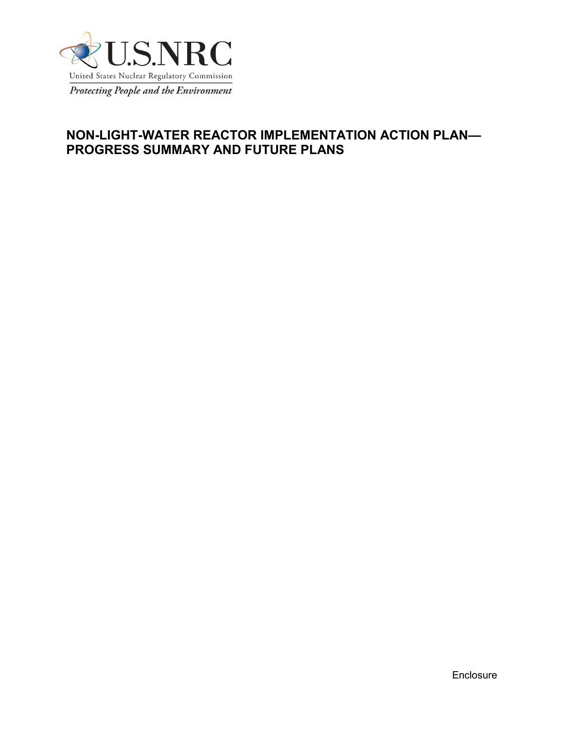

# **NON-LIGHT-WATER REACTOR IMPLEMENTATION ACTION PLAN— PROGRESS SUMMARY AND FUTURE PLANS**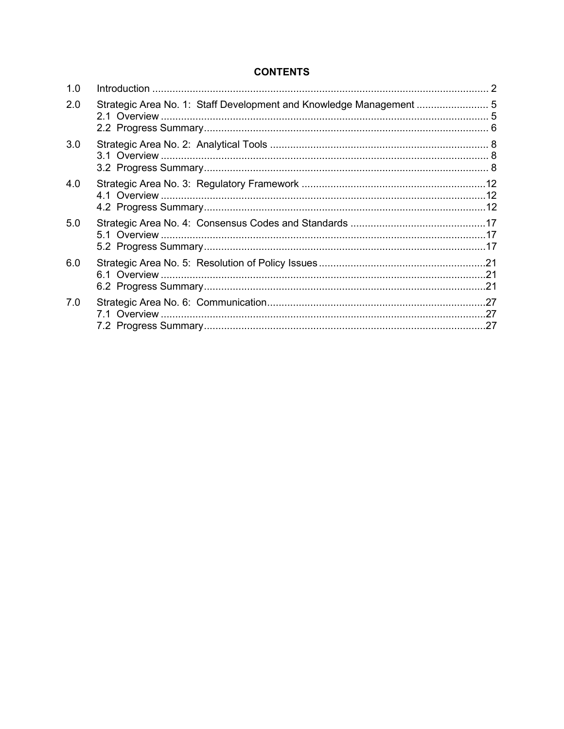### **CONTENTS**

| 1.0 |                                                                  |  |
|-----|------------------------------------------------------------------|--|
| 2.0 | Strategic Area No. 1: Staff Development and Knowledge Management |  |
| 3.0 |                                                                  |  |
| 4.0 |                                                                  |  |
| 5.0 |                                                                  |  |
| 6.0 |                                                                  |  |
| 7.0 |                                                                  |  |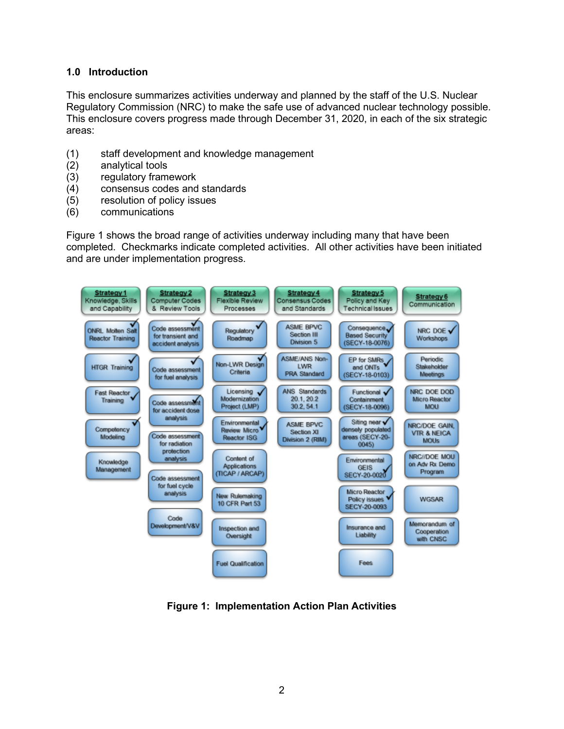#### <span id="page-2-0"></span>**1.0 Introduction**

This enclosure summarizes activities underway and planned by the staff of the U.S. Nuclear Regulatory Commission (NRC) to make the safe use of advanced nuclear technology possible. This enclosure covers progress made through December 31, 2020, in each of the six strategic areas:

- (1) staff development and knowledge management
- (2) analytical tools
- (3) regulatory framework<br>(4) consensus codes and
- (4) consensus codes and standards
- (5) resolution of policy issues
- (6) communications

Figure 1 shows the broad range of activities underway including many that have been completed. Checkmarks indicate completed activities. All other activities have been initiated and are under implementation progress.



**Figure 1: Implementation Action Plan Activities**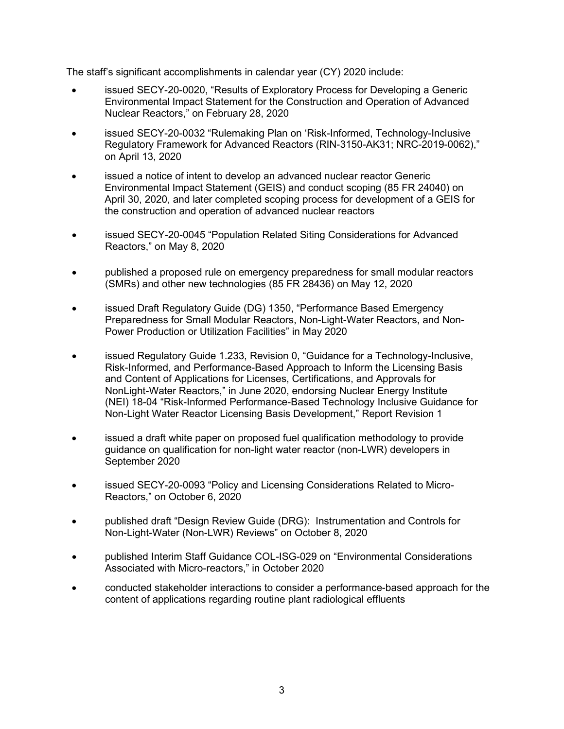The staff's significant accomplishments in calendar year (CY) 2020 include:

- issued SECY-20-0020, "Results of Exploratory Process for Developing a Generic Environmental Impact Statement for the Construction and Operation of Advanced Nuclear Reactors," on February 28, 2020
- issued SECY-20-0032 "Rulemaking Plan on 'Risk-Informed, Technology-Inclusive Regulatory Framework for Advanced Reactors (RIN-3150-AK31; NRC-2019-0062)," on April 13, 2020
- issued a notice of intent to develop an advanced nuclear reactor Generic Environmental Impact Statement (GEIS) and conduct scoping (85 FR 24040) on April 30, 2020, and later completed scoping process for development of a GEIS for the construction and operation of advanced nuclear reactors
- issued SECY-20-0045 "Population Related Siting Considerations for Advanced Reactors," on May 8, 2020
- published a proposed rule on emergency preparedness for small modular reactors (SMRs) and other new technologies (85 FR 28436) on May 12, 2020
- issued Draft Regulatory Guide (DG) 1350, "Performance Based Emergency Preparedness for Small Modular Reactors, Non-Light-Water Reactors, and Non-Power Production or Utilization Facilities" in May 2020
- issued Regulatory Guide 1.233, Revision 0, "Guidance for a Technology-Inclusive, Risk-Informed, and Performance-Based Approach to Inform the Licensing Basis and Content of Applications for Licenses, Certifications, and Approvals for NonLight-Water Reactors," in June 2020, endorsing Nuclear Energy Institute (NEI) 18-04 "Risk-Informed Performance-Based Technology Inclusive Guidance for Non-Light Water Reactor Licensing Basis Development," Report Revision 1
- issued a draft white paper on proposed fuel qualification methodology to provide guidance on qualification for non-light water reactor (non-LWR) developers in September 2020
- issued SECY-20-0093 "Policy and Licensing Considerations Related to Micro-Reactors," on October 6, 2020
- published draft "Design Review Guide (DRG): Instrumentation and Controls for Non-Light-Water (Non-LWR) Reviews" on October 8, 2020
- published Interim Staff Guidance COL-ISG-029 on "Environmental Considerations Associated with Micro-reactors," in October 2020
- conducted stakeholder interactions to consider a performance-based approach for the content of applications regarding routine plant radiological effluents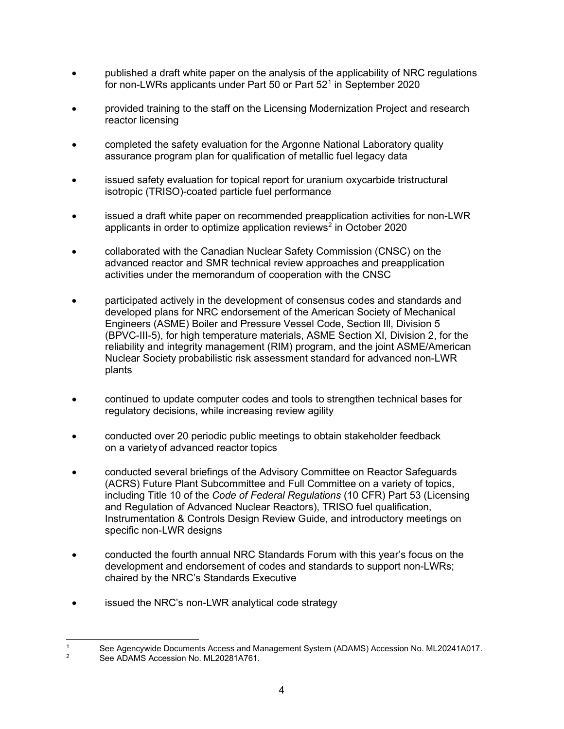- published a draft white paper on the analysis of the applicability of NRC regulations for non-LWRs applicants under Part 50 or Part 52<sup>[1](#page-4-0)</sup> in September 2020
- provided training to the staff on the Licensing Modernization Project and research reactor licensing
- completed the safety evaluation for the Argonne National Laboratory quality assurance program plan for qualification of metallic fuel legacy data
- issued safety evaluation for topical report for uranium oxycarbide tristructural isotropic (TRISO)-coated particle fuel performance
- issued a draft white paper on recommended preapplication activities for non-LWR applicants in order to optimize application reviews<sup>[2](#page-4-1)</sup> in October 2020
- collaborated with the Canadian Nuclear Safety Commission (CNSC) on the advanced reactor and SMR technical review approaches and preapplication activities under the memorandum of cooperation with the CNSC
- participated actively in the development of consensus codes and standards and developed plans for NRC endorsement of the American Society of Mechanical Engineers (ASME) Boiler and Pressure Vessel Code, Section Ill, Division 5 (BPVC-III-5), for high temperature materials, ASME Section XI, Division 2, for the reliability and integrity management (RIM) program, and the joint ASME/American Nuclear Society probabilistic risk assessment standard for advanced non-LWR plants
- continued to update computer codes and tools to strengthen technical bases for regulatory decisions, while increasing review agility
- conducted over 20 periodic public meetings to obtain stakeholder feedback on a varietyof advanced reactor topics
- conducted several briefings of the Advisory Committee on Reactor Safeguards (ACRS) Future Plant Subcommittee and Full Committee on a variety of topics, including Title 10 of the *Code of Federal Regulations* (10 CFR) Part 53 (Licensing and Regulation of Advanced Nuclear Reactors), TRISO fuel qualification, Instrumentation & Controls Design Review Guide, and introductory meetings on specific non-LWR designs
- conducted the fourth annual NRC Standards Forum with this year's focus on the development and endorsement of codes and standards to support non-LWRs; chaired by the NRC's Standards Executive
- issued the NRC's non-LWR analytical code strategy

<span id="page-4-1"></span><span id="page-4-0"></span><sup>1</sup> See Agencywide Documents Access and Management System (ADAMS) Accession No. ML20241A017.

See ADAMS Accession No. ML20281A761.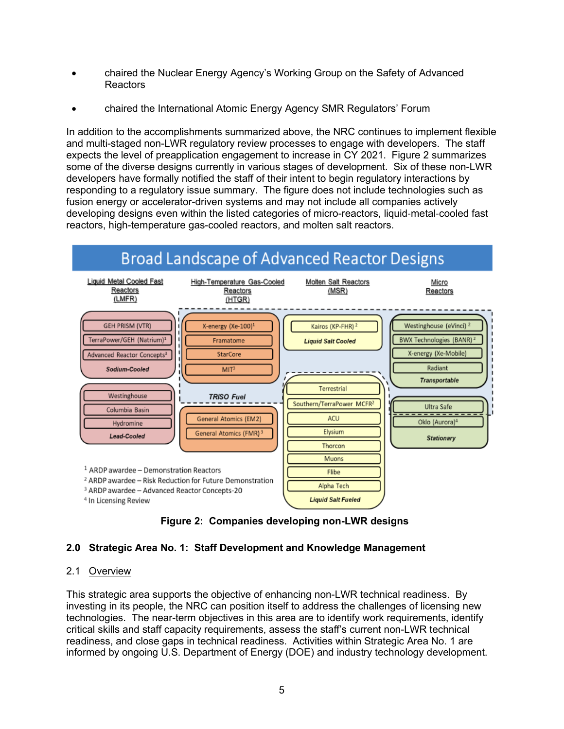- chaired the Nuclear Energy Agency's Working Group on the Safety of Advanced Reactors
- chaired the International Atomic Energy Agency SMR Regulators' Forum

In addition to the accomplishments summarized above, the NRC continues to implement flexible and multi-staged non-LWR regulatory review processes to engage with developers. The staff expects the level of preapplication engagement to increase in CY 2021. Figure 2 summarizes some of the diverse designs currently in various stages of development. Six of these non-LWR developers have formally notified the staff of their intent to begin regulatory interactions by responding to a regulatory issue summary. The figure does not include technologies such as fusion energy or accelerator-driven systems and may not include all companies actively developing designs even within the listed categories of micro-reactors, liquid-metal-cooled fast reactors, high-temperature gas-cooled reactors, and molten salt reactors.



 **Figure 2: Companies developing non-LWR designs**

# <span id="page-5-0"></span>**2.0 Strategic Area No. 1: Staff Development and Knowledge Management**

#### <span id="page-5-1"></span>2.1 Overview

This strategic area supports the objective of enhancing non-LWR technical readiness. By investing in its people, the NRC can position itself to address the challenges of licensing new technologies. The near-term objectives in this area are to identify work requirements, identify critical skills and staff capacity requirements, assess the staff's current non-LWR technical readiness, and close gaps in technical readiness. Activities within Strategic Area No. 1 are informed by ongoing U.S. Department of Energy (DOE) and industry technology development.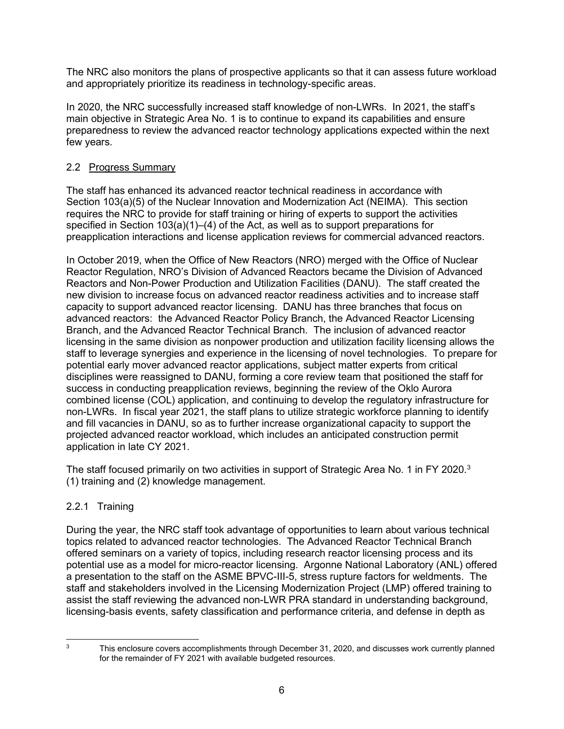The NRC also monitors the plans of prospective applicants so that it can assess future workload and appropriately prioritize its readiness in technology-specific areas.

In 2020, the NRC successfully increased staff knowledge of non-LWRs. In 2021, the staff's main objective in Strategic Area No. 1 is to continue to expand its capabilities and ensure preparedness to review the advanced reactor technology applications expected within the next few years.

# <span id="page-6-0"></span>2.2 Progress Summary

The staff has enhanced its advanced reactor technical readiness in accordance with Section 103(a)(5) of the Nuclear Innovation and Modernization Act (NEIMA). This section requires the NRC to provide for staff training or hiring of experts to support the activities specified in Section 103(a)(1)–(4) of the Act, as well as to support preparations for preapplication interactions and license application reviews for commercial advanced reactors.

In October 2019, when the Office of New Reactors (NRO) merged with the Office of Nuclear Reactor Regulation, NRO's Division of Advanced Reactors became the Division of Advanced Reactors and Non-Power Production and Utilization Facilities (DANU). The staff created the new division to increase focus on advanced reactor readiness activities and to increase staff capacity to support advanced reactor licensing. DANU has three branches that focus on advanced reactors: the Advanced Reactor Policy Branch, the Advanced Reactor Licensing Branch, and the Advanced Reactor Technical Branch. The inclusion of advanced reactor licensing in the same division as nonpower production and utilization facility licensing allows the staff to leverage synergies and experience in the licensing of novel technologies. To prepare for potential early mover advanced reactor applications, subject matter experts from critical disciplines were reassigned to DANU, forming a core review team that positioned the staff for success in conducting preapplication reviews, beginning the review of the Oklo Aurora combined license (COL) application, and continuing to develop the regulatory infrastructure for non-LWRs. In fiscal year 2021, the staff plans to utilize strategic workforce planning to identify and fill vacancies in DANU, so as to further increase organizational capacity to support the projected advanced reactor workload, which includes an anticipated construction permit application in late CY 2021.

The staff focused primarily on two activities in support of Strategic Area No. 1 in FY 2020. $^{\rm 3}$  $^{\rm 3}$  $^{\rm 3}$ (1) training and (2) knowledge management.

# 2.2.1 Training

During the year, the NRC staff took advantage of opportunities to learn about various technical topics related to advanced reactor technologies. The Advanced Reactor Technical Branch offered seminars on a variety of topics, including research reactor licensing process and its potential use as a model for micro-reactor licensing. Argonne National Laboratory (ANL) offered a presentation to the staff on the ASME BPVC-III-5, stress rupture factors for weldments. The staff and stakeholders involved in the Licensing Modernization Project (LMP) offered training to assist the staff reviewing the advanced non-LWR PRA standard in understanding background, licensing-basis events, safety classification and performance criteria, and defense in depth as

<span id="page-6-1"></span><sup>&</sup>lt;sup>3</sup> This enclosure covers accomplishments through December 31, 2020, and discusses work currently planned for the remainder of FY 2021 with available budgeted resources.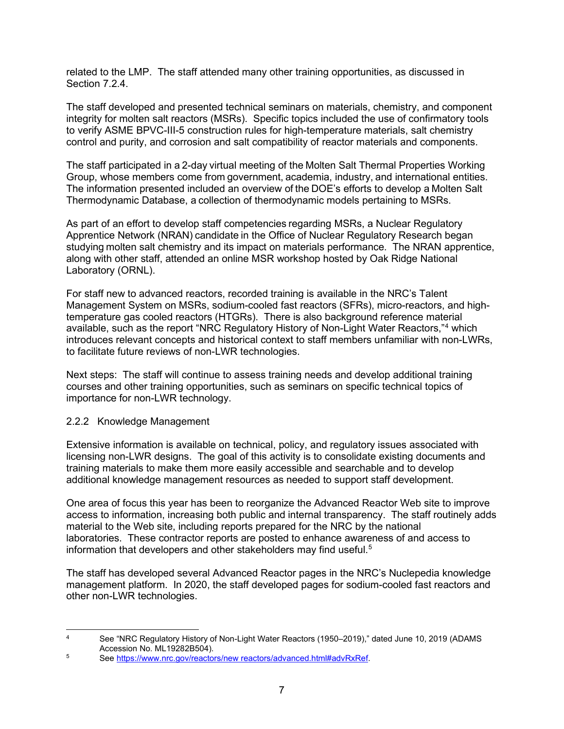related to the LMP. The staff attended many other training opportunities, as discussed in Section 7.2.4.

The staff developed and presented technical seminars on materials, chemistry, and component integrity for molten salt reactors (MSRs). Specific topics included the use of confirmatory tools to verify ASME BPVC-III-5 construction rules for high-temperature materials, salt chemistry control and purity, and corrosion and salt compatibility of reactor materials and components.

The staff participated in a 2-day virtual meeting of the Molten Salt Thermal Properties Working Group, whose members come from government, academia, industry, and international entities. The information presented included an overview of the DOE's efforts to develop a Molten Salt Thermodynamic Database, a collection of thermodynamic models pertaining to MSRs. 

As part of an effort to develop staff competencies regarding MSRs, a Nuclear Regulatory Apprentice Network (NRAN) candidate in the Office of Nuclear Regulatory Research began studying molten salt chemistry and its impact on materials performance. The NRAN apprentice, along with other staff, attended an online MSR workshop hosted by Oak Ridge National Laboratory (ORNL). 

For staff new to advanced reactors, recorded training is available in the NRC's Talent Management System on MSRs, sodium-cooled fast reactors (SFRs), micro-reactors, and hightemperature gas cooled reactors (HTGRs). There is also background reference material available, such as the report "NRC Regulatory History of Non-Light Water Reactors,"[4](#page-7-0) which introduces relevant concepts and historical context to staff members unfamiliar with non-LWRs, to facilitate future reviews of non-LWR technologies.

Next steps: The staff will continue to assess training needs and develop additional training courses and other training opportunities, such as seminars on specific technical topics of importance for non-LWR technology.

#### 2.2.2 Knowledge Management

Extensive information is available on technical, policy, and regulatory issues associated with licensing non-LWR designs. The goal of this activity is to consolidate existing documents and training materials to make them more easily accessible and searchable and to develop additional knowledge management resources as needed to support staff development.

One area of focus this year has been to reorganize the Advanced Reactor Web site to improve access to information, increasing both public and internal transparency. The staff routinely adds material to the Web site, including reports prepared for the NRC by the national laboratories. These contractor reports are posted to enhance awareness of and access to information that developers and other stakeholders may find useful. $^{\rm 5}$  $^{\rm 5}$  $^{\rm 5}$ 

The staff has developed several Advanced Reactor pages in the NRC's Nuclepedia knowledge management platform. In 2020, the staff developed pages for sodium-cooled fast reactors and other non-LWR technologies.

<span id="page-7-0"></span><sup>4</sup> See "NRC Regulatory History of Non-Light Water Reactors (1950–2019)," dated June 10, 2019 (ADAMS Accession No. ML19282B504).

<span id="page-7-1"></span><sup>5</sup> See https://www.nrc.gov/reactors/new reactors/advanced.html#advRxRef.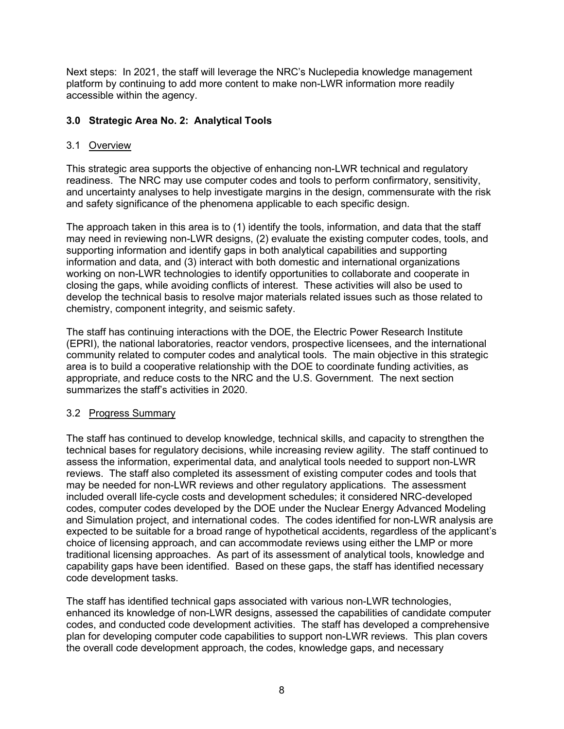Next steps: In 2021, the staff will leverage the NRC's Nuclepedia knowledge management platform by continuing to add more content to make non-LWR information more readily accessible within the agency.

### <span id="page-8-0"></span>**3.0 Strategic Area No. 2: Analytical Tools**

#### <span id="page-8-1"></span>3.1 Overview

This strategic area supports the objective of enhancing non-LWR technical and regulatory readiness. The NRC may use computer codes and tools to perform confirmatory, sensitivity, and uncertainty analyses to help investigate margins in the design, commensurate with the risk and safety significance of the phenomena applicable to each specific design.

The approach taken in this area is to (1) identify the tools, information, and data that the staff may need in reviewing non-LWR designs, (2) evaluate the existing computer codes, tools, and supporting information and identify gaps in both analytical capabilities and supporting information and data, and (3) interact with both domestic and international organizations working on non-LWR technologies to identify opportunities to collaborate and cooperate in closing the gaps, while avoiding conflicts of interest. These activities will also be used to develop the technical basis to resolve major materials related issues such as those related to chemistry, component integrity, and seismic safety.

The staff has continuing interactions with the DOE, the Electric Power Research Institute (EPRI), the national laboratories, reactor vendors, prospective licensees, and the international community related to computer codes and analytical tools. The main objective in this strategic area is to build a cooperative relationship with the DOE to coordinate funding activities, as appropriate, and reduce costs to the NRC and the U.S. Government. The next section summarizes the staff's activities in 2020.

#### 3.2 Progress Summary

The staff has continued to develop knowledge, technical skills, and capacity to strengthen the technical bases for regulatory decisions, while increasing review agility. The staff continued to assess the information, experimental data, and analytical tools needed to support non-LWR reviews. The staff also completed its assessment of existing computer codes and tools that may be needed for non-LWR reviews and other regulatory applications. The assessment included overall life-cycle costs and development schedules; it considered NRC-developed codes, computer codes developed by the DOE under the Nuclear Energy Advanced Modeling and Simulation project, and international codes. The codes identified for non-LWR analysis are expected to be suitable for a broad range of hypothetical accidents, regardless of the applicant's choice of licensing approach, and can accommodate reviews using either the LMP or more traditional licensing approaches. As part of its assessment of analytical tools, knowledge and capability gaps have been identified. Based on these gaps, the staff has identified necessary code development tasks.

The staff has identified technical gaps associated with various non-LWR technologies, enhanced its knowledge of non-LWR designs, assessed the capabilities of candidate computer codes, and conducted code development activities. The staff has developed a comprehensive plan for developing computer code capabilities to support non-LWR reviews. This plan covers the overall code development approach, the codes, knowledge gaps, and necessary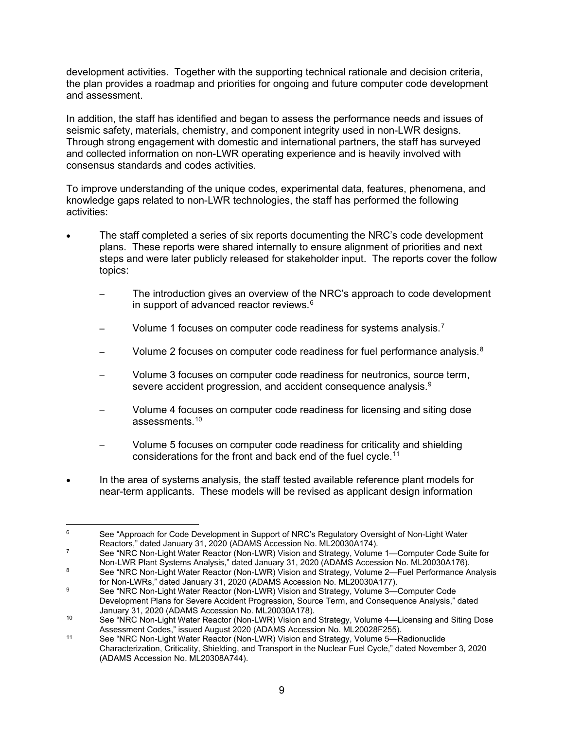development activities. Together with the supporting technical rationale and decision criteria, the plan provides a roadmap and priorities for ongoing and future computer code development and assessment.

In addition, the staff has identified and began to assess the performance needs and issues of seismic safety, materials, chemistry, and component integrity used in non-LWR designs. Through strong engagement with domestic and international partners, the staff has surveyed and collected information on non-LWR operating experience and is heavily involved with consensus standards and codes activities.

To improve understanding of the unique codes, experimental data, features, phenomena, and knowledge gaps related to non-LWR technologies, the staff has performed the following activities:

- The staff completed a series of six reports documenting the NRC's code development plans. These reports were shared internally to ensure alignment of priorities and next steps and were later publicly released for stakeholder input. The reports cover the follow topics:
	- The introduction gives an overview of the NRC's approach to code development in support of advanced reactor reviews. $^6$  $^6$
	- $\hskip1cm$  Volume 1 focuses on computer code readiness for systems analysis.<sup>[7](#page-9-1)</sup>
	- $\hskip1cm$  Volume 2 focuses on computer code readiness for fuel performance analysis. $^8$  $^8$
	- Volume 3 focuses on computer code readiness for neutronics, source term, severe accident progression, and accident consequence analysis. $^9$  $^9$
	- Volume 4 focuses on computer code readiness for licensing and siting dose assessments. [10](#page-9-4)
	- Volume 5 focuses on computer code readiness for criticality and shielding considerations for the front and back end of the fuel cycle. [11](#page-9-5)
- In the area of systems analysis, the staff tested available reference plant models for near-term applicants. These models will be revised as applicant design information

<span id="page-9-0"></span><sup>&</sup>lt;sup>6</sup> See "Approach for Code Development in Support of NRC's Regulatory Oversight of Non-Light Water Reactors," dated January 31, 2020 (ADAMS Accession No. ML20030A174).

<span id="page-9-1"></span><sup>7</sup> See "NRC Non-Light Water Reactor (Non-LWR) Vision and Strategy, Volume 1—Computer Code Suite for Non-LWR Plant Systems Analysis," dated January 31, 2020 (ADAMS Accession No. ML20030A176).

<span id="page-9-2"></span><sup>8</sup> See "NRC Non-Light Water Reactor (Non-LWR) Vision and Strategy, Volume 2—Fuel Performance Analysis for Non-LWRs," dated January 31, 2020 (ADAMS Accession No. ML20030A177).

<span id="page-9-3"></span><sup>9</sup> See "NRC Non-Light Water Reactor (Non-LWR) Vision and Strategy, Volume 3—Computer Code Development Plans for Severe Accident Progression, Source Term, and Consequence Analysis," dated January 31, 2020 (ADAMS Accession No. ML20030A178).

<span id="page-9-4"></span><sup>10</sup> See "NRC Non-Light Water Reactor (Non-LWR) Vision and Strategy, Volume 4—Licensing and Siting Dose Assessment Codes," issued August 2020 (ADAMS Accession No. ML20028F255).

<span id="page-9-5"></span><sup>11</sup> See "NRC Non-Light Water Reactor (Non-LWR) Vision and Strategy, Volume 5—Radionuclide Characterization, Criticality, Shielding, and Transport in the Nuclear Fuel Cycle," dated November 3, 2020 (ADAMS Accession No. ML20308A744).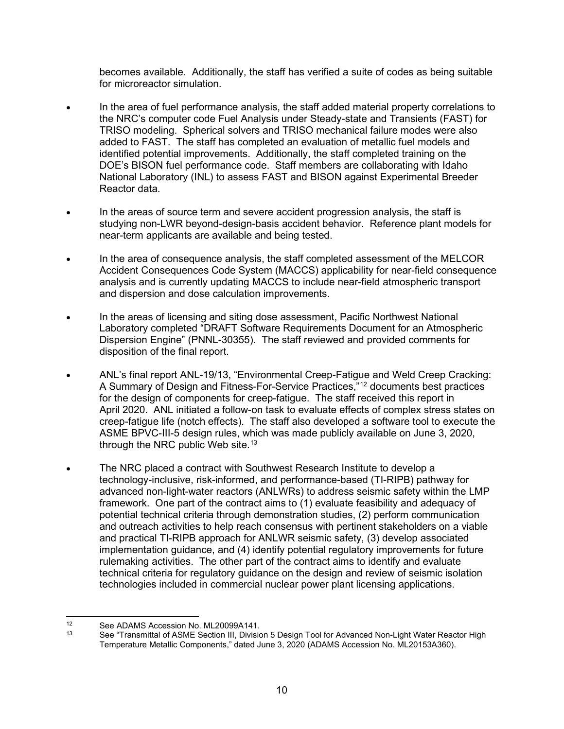becomes available. Additionally, the staff has verified a suite of codes as being suitable for microreactor simulation.

- In the area of fuel performance analysis, the staff added material property correlations to the NRC's computer code Fuel Analysis under Steady-state and Transients (FAST) for TRISO modeling. Spherical solvers and TRISO mechanical failure modes were also added to FAST. The staff has completed an evaluation of metallic fuel models and identified potential improvements. Additionally, the staff completed training on the DOE's BISON fuel performance code. Staff members are collaborating with Idaho National Laboratory (INL) to assess FAST and BISON against Experimental Breeder Reactor data.
- In the areas of source term and severe accident progression analysis, the staff is studying non-LWR beyond-design-basis accident behavior. Reference plant models for near-term applicants are available and being tested.
- In the area of consequence analysis, the staff completed assessment of the MELCOR Accident Consequences Code System (MACCS) applicability for near-field consequence analysis and is currently updating MACCS to include near-field atmospheric transport and dispersion and dose calculation improvements.
- In the areas of licensing and siting dose assessment, Pacific Northwest National Laboratory completed "DRAFT Software Requirements Document for an Atmospheric Dispersion Engine" (PNNL-30355). The staff reviewed and provided comments for disposition of the final report.
- ANL's final report ANL-19/13, "Environmental Creep-Fatigue and Weld Creep Cracking: A Summary of Design and Fitness-For-Service Practices,"[12](#page-10-0) documents best practices for the design of components for creep-fatigue. The staff received this report in April 2020. ANL initiated a follow-on task to evaluate effects of complex stress states on creep-fatigue life (notch effects). The staff also developed a software tool to execute the ASME BPVC-III-5 design rules, which was made publicly available on June 3, 2020, through the NRC public Web site. $^{\rm 13}$  $^{\rm 13}$  $^{\rm 13}$
- The NRC placed a contract with Southwest Research Institute to develop a technology-inclusive, risk-informed, and performance-based (TI-RIPB) pathway for advanced non-light-water reactors (ANLWRs) to address seismic safety within the LMP framework. One part of the contract aims to (1) evaluate feasibility and adequacy of potential technical criteria through demonstration studies, (2) perform communication and outreach activities to help reach consensus with pertinent stakeholders on a viable and practical TI-RIPB approach for ANLWR seismic safety, (3) develop associated implementation guidance, and (4) identify potential regulatory improvements for future rulemaking activities. The other part of the contract aims to identify and evaluate technical criteria for regulatory guidance on the design and review of seismic isolation technologies included in commercial nuclear power plant licensing applications.

<span id="page-10-1"></span><span id="page-10-0"></span><sup>12</sup> See ADAMS Accession No. ML20099A141.<br>13 See "Transmittal of ASME Section III, Division

See "Transmittal of ASME Section III, Division 5 Design Tool for Advanced Non-Light Water Reactor High Temperature Metallic Components," dated June 3, 2020 (ADAMS Accession No. ML20153A360).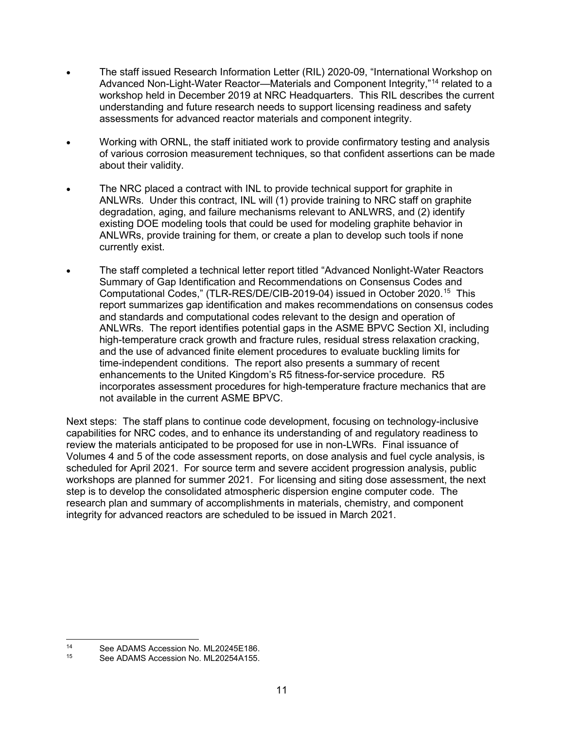- The staff issued Research Information Letter (RIL) 2020-09, "International Workshop on Advanced Non-Light-Water Reactor—Materials and Component Integrity,"<sup>[14](#page-11-1)</sup> related to a workshop held in December 2019 at NRC Headquarters. This RIL describes the current understanding and future research needs to support licensing readiness and safety assessments for advanced reactor materials and component integrity.
- Working with ORNL, the staff initiated work to provide confirmatory testing and analysis of various corrosion measurement techniques, so that confident assertions can be made about their validity.
- The NRC placed a contract with INL to provide technical support for graphite in ANLWRs. Under this contract, INL will (1) provide training to NRC staff on graphite degradation, aging, and failure mechanisms relevant to ANLWRS, and (2) identify existing DOE modeling tools that could be used for modeling graphite behavior in ANLWRs, provide training for them, or create a plan to develop such tools if none currently exist.
- The staff completed a technical letter report titled "Advanced Nonlight-Water Reactors Summary of Gap Identification and Recommendations on Consensus Codes and Computational Codes," (TLR-RES/DE/CIB-2019-04) issued in October 2020.[15](#page-11-2) This report summarizes gap identification and makes recommendations on consensus codes and standards and computational codes relevant to the design and operation of ANLWRs. The report identifies potential gaps in the ASME BPVC Section XI, including high-temperature crack growth and fracture rules, residual stress relaxation cracking, and the use of advanced finite element procedures to evaluate buckling limits for time-independent conditions. The report also presents a summary of recent enhancements to the United Kingdom's R5 fitness-for-service procedure. R5 incorporates assessment procedures for high-temperature fracture mechanics that are not available in the current ASME BPVC.

<span id="page-11-0"></span>Next steps: The staff plans to continue code development, focusing on technology-inclusive capabilities for NRC codes, and to enhance its understanding of and regulatory readiness to review the materials anticipated to be proposed for use in non-LWRs. Final issuance of Volumes 4 and 5 of the code assessment reports, on dose analysis and fuel cycle analysis, is scheduled for April 2021. For source term and severe accident progression analysis, public workshops are planned for summer 2021. For licensing and siting dose assessment, the next step is to develop the consolidated atmospheric dispersion engine computer code. The research plan and summary of accomplishments in materials, chemistry, and component integrity for advanced reactors are scheduled to be issued in March 2021.

<span id="page-11-2"></span><span id="page-11-1"></span><sup>14</sup> See ADAMS Accession No. ML20245E186.

See ADAMS Accession No. ML20254A155.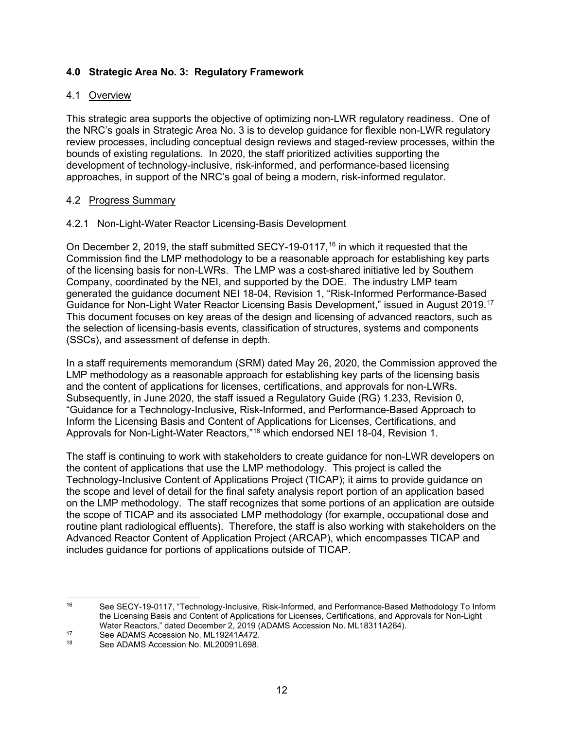### **4.0 Strategic Area No. 3: Regulatory Framework**

#### <span id="page-12-0"></span>4.1 Overview

This strategic area supports the objective of optimizing non-LWR regulatory readiness. One of the NRC's goals in Strategic Area No. 3 is to develop guidance for flexible non-LWR regulatory review processes, including conceptual design reviews and staged-review processes, within the bounds of existing regulations. In 2020, the staff prioritized activities supporting the development of technology-inclusive, risk-informed, and performance-based licensing approaches, in support of the NRC's goal of being a modern, risk-informed regulator.

#### <span id="page-12-1"></span>4.2 Progress Summary

#### 4.2.1 Non-Light-Water Reactor Licensing-Basis Development

On December 2, 2019, the staff submitted SECY-19-0117, [16](#page-12-2) in which it requested that the Commission find the LMP methodology to be a reasonable approach for establishing key parts of the licensing basis for non-LWRs. The LMP was a cost-shared initiative led by Southern Company, coordinated by the NEI, and supported by the DOE. The industry LMP team generated the guidance document NEI 18-04, Revision 1, "Risk-Informed Performance-Based Guidance for Non-Light Water Reactor Licensing Basis Development," issued in August 2019.<sup>[17](#page-12-3)</sup> This document focuses on key areas of the design and licensing of advanced reactors, such as the selection of licensing-basis events, classification of structures, systems and components (SSCs), and assessment of defense in depth.

In a staff requirements memorandum (SRM) dated May 26, 2020, the Commission approved the LMP methodology as a reasonable approach for establishing key parts of the licensing basis and the content of applications for licenses, certifications, and approvals for non-LWRs. Subsequently, in June 2020, the staff issued a Regulatory Guide (RG) 1.233, Revision 0, "Guidance for a Technology-Inclusive, Risk-Informed, and Performance-Based Approach to Inform the Licensing Basis and Content of Applications for Licenses, Certifications, and Approvals for Non-Light-Water Reactors,"[18](#page-12-4) which endorsed NEI 18-04, Revision 1.

The staff is continuing to work with stakeholders to create guidance for non-LWR developers on the content of applications that use the LMP methodology. This project is called the Technology-Inclusive Content of Applications Project (TICAP); it aims to provide guidance on the scope and level of detail for the final safety analysis report portion of an application based on the LMP methodology. The staff recognizes that some portions of an application are outside the scope of TICAP and its associated LMP methodology (for example, occupational dose and routine plant radiological effluents). Therefore, the staff is also working with stakeholders on the Advanced Reactor Content of Application Project (ARCAP), which encompasses TICAP and includes guidance for portions of applications outside of TICAP.

<span id="page-12-2"></span><sup>16</sup> See SECY-19-0117, "Technology-Inclusive, Risk-Informed, and Performance-Based Methodology To Inform the Licensing Basis and Content of Applications for Licenses, Certifications, and Approvals for Non-Light Water Reactors," dated December 2, 2019 (ADAMS Accession No. ML18311A264).

<span id="page-12-4"></span><span id="page-12-3"></span><sup>&</sup>lt;sup>17</sup> See ADAMS Accession No. ML19241A472.<br><sup>18</sup> See ADAMS Accession No. ML20091L608

See ADAMS Accession No. ML20091L698.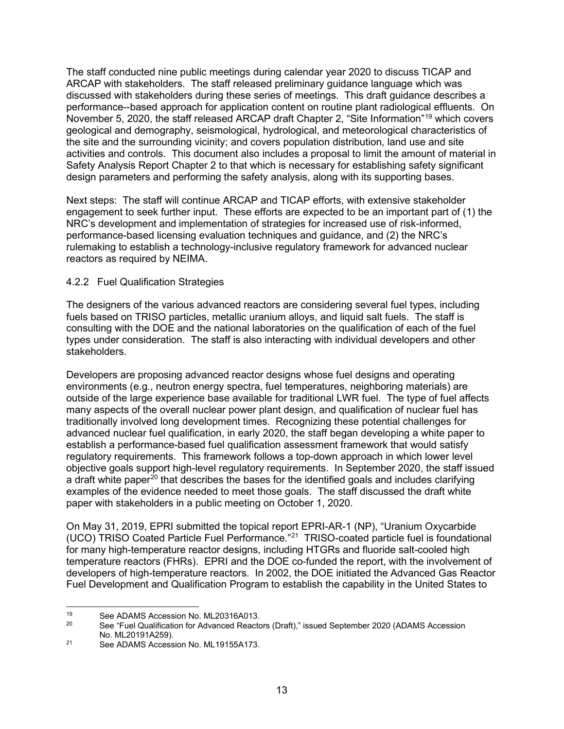The staff conducted nine public meetings during calendar year 2020 to discuss TICAP and ARCAP with stakeholders. The staff released preliminary guidance language which was discussed with stakeholders during these series of meetings. This draft guidance describes a performance--based approach for application content on routine plant radiological effluents. On November 5, 2020, the staff released ARCAP draft Chapter 2, "Site Information"<sup>[19](#page-13-0)</sup> which covers geological and demography, seismological, hydrological, and meteorological characteristics of the site and the surrounding vicinity; and covers population distribution, land use and site activities and controls. This document also includes a proposal to limit the amount of material in Safety Analysis Report Chapter 2 to that which is necessary for establishing safety significant design parameters and performing the safety analysis, along with its supporting bases.

Next steps: The staff will continue ARCAP and TICAP efforts, with extensive stakeholder engagement to seek further input. These efforts are expected to be an important part of (1) the NRC's development and implementation of strategies for increased use of risk-informed, performance-based licensing evaluation techniques and guidance, and (2) the NRC's rulemaking to establish a technology-inclusive regulatory framework for advanced nuclear reactors as required by NEIMA.

### 4.2.2 Fuel Qualification Strategies

The designers of the various advanced reactors are considering several fuel types, including fuels based on TRISO particles, metallic uranium alloys, and liquid salt fuels. The staff is consulting with the DOE and the national laboratories on the qualification of each of the fuel types under consideration. The staff is also interacting with individual developers and other stakeholders.

Developers are proposing advanced reactor designs whose fuel designs and operating environments (e.g., neutron energy spectra, fuel temperatures, neighboring materials) are outside of the large experience base available for traditional LWR fuel. The type of fuel affects many aspects of the overall nuclear power plant design, and qualification of nuclear fuel has traditionally involved long development times. Recognizing these potential challenges for advanced nuclear fuel qualification, in early 2020, the staff began developing a white paper to establish a performance-based fuel qualification assessment framework that would satisfy regulatory requirements. This framework follows a top-down approach in which lower level objective goals support high-level regulatory requirements. In September 2020, the staff issued a draft white paper<sup>[20](#page-13-1)</sup> that describes the bases for the identified goals and includes clarifying examples of the evidence needed to meet those goals. The staff discussed the draft white paper with stakeholders in a public meeting on October 1, 2020.

On May 31, 2019, EPRI submitted the topical report EPRI-AR-1 (NP), "Uranium Oxycarbide (UCO) TRISO Coated Particle Fuel Performance.["21](#page-13-2) TRISO-coated particle fuel is foundational for many high-temperature reactor designs, including HTGRs and fluoride salt-cooled high temperature reactors (FHRs). EPRI and the DOE co-funded the report, with the involvement of developers of high-temperature reactors. In 2002, the DOE initiated the Advanced Gas Reactor Fuel Development and Qualification Program to establish the capability in the United States to

<span id="page-13-1"></span><span id="page-13-0"></span><sup>19</sup> See ADAMS Accession No. ML20316A013.<br>20 See "Fuel Qualification for Advanced Boots"

<sup>20</sup> See "Fuel Qualification for Advanced Reactors (Draft)," issued September 2020 (ADAMS Accession No. ML20191A259).

<span id="page-13-2"></span><sup>21</sup> See ADAMS Accession No. ML19155A173.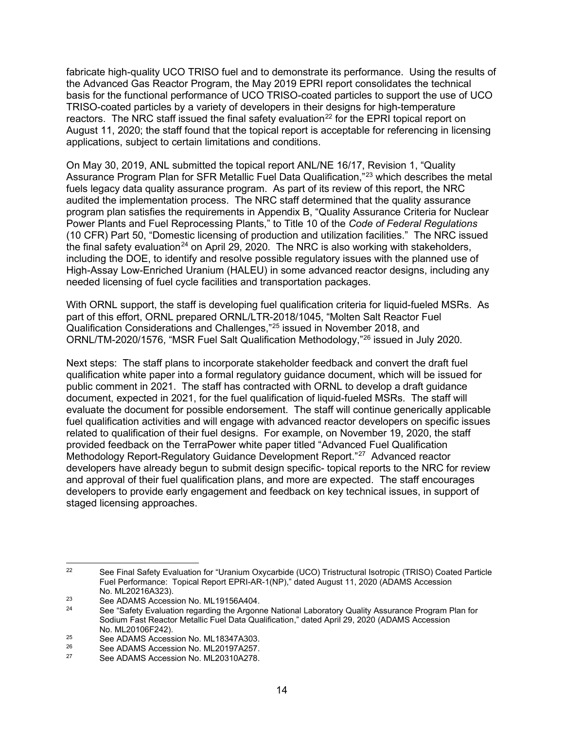fabricate high-quality UCO TRISO fuel and to demonstrate its performance. Using the results of the Advanced Gas Reactor Program, the May 2019 EPRI report consolidates the technical basis for the functional performance of UCO TRISO-coated particles to support the use of UCO TRISO-coated particles by a variety of developers in their designs for high-temperature reactors. The NRC staff issued the final safety evaluation<sup>[22](#page-14-0)</sup> for the EPRI topical report on August 11, 2020; the staff found that the topical report is acceptable for referencing in licensing applications, subject to certain limitations and conditions.

On May 30, 2019, ANL submitted the topical report ANL/NE 16/17, Revision 1, "Quality Assurance Program Plan for SFR Metallic Fuel Data Qualification,"<sup>[23](#page-14-1)</sup> which describes the metal fuels legacy data quality assurance program. As part of its review of this report, the NRC audited the implementation process. The NRC staff determined that the quality assurance program plan satisfies the requirements in Appendix B, "Quality Assurance Criteria for Nuclear Power Plants and Fuel Reprocessing Plants," to Title 10 of the *Code of Federal Regulations* (10 CFR) Part 50, "Domestic licensing of production and utilization facilities." The NRC issued the final safety evaluation<sup>[24](#page-14-2)</sup> on April 29, 2020. The NRC is also working with stakeholders, including the DOE, to identify and resolve possible regulatory issues with the planned use of High-Assay Low-Enriched Uranium (HALEU) in some advanced reactor designs, including any needed licensing of fuel cycle facilities and transportation packages.

With ORNL support, the staff is developing fuel qualification criteria for liquid-fueled MSRs. As part of this effort, ORNL prepared ORNL/LTR-2018/1045, "Molten Salt Reactor Fuel Qualification Considerations and Challenges,"[25](#page-14-3) issued in November 2018, and ORNL/TM-2020/1576, "MSR Fuel Salt Qualification Methodology,"[26](#page-14-4) issued in July 2020.

Next steps: The staff plans to incorporate stakeholder feedback and convert the draft fuel qualification white paper into a formal regulatory guidance document, which will be issued for public comment in 2021. The staff has contracted with ORNL to develop a draft guidance document, expected in 2021, for the fuel qualification of liquid-fueled MSRs. The staff will evaluate the document for possible endorsement. The staff will continue generically applicable fuel qualification activities and will engage with advanced reactor developers on specific issues related to qualification of their fuel designs. For example, on November 19, 2020, the staff provided feedback on the TerraPower white paper titled "Advanced Fuel Qualification Methodology Report-Regulatory Guidance Development Report."[27](#page-14-5) Advanced reactor developers have already begun to submit design specific- topical reports to the NRC for review and approval of their fuel qualification plans, and more are expected. The staff encourages developers to provide early engagement and feedback on key technical issues, in support of staged licensing approaches.

<span id="page-14-0"></span><sup>&</sup>lt;sup>22</sup> See Final Safety Evaluation for "Uranium Oxycarbide (UCO) Tristructural Isotropic (TRISO) Coated Particle Fuel Performance: Topical Report EPRI-AR-1(NP)," dated August 11, 2020 (ADAMS Accession No. ML20216A323).

<span id="page-14-1"></span> $\frac{23}{24}$  See ADAMS Accession No. ML19156A404.

<span id="page-14-2"></span>See "Safety Evaluation regarding the Argonne National Laboratory Quality Assurance Program Plan for Sodium Fast Reactor Metallic Fuel Data Qualification," dated April 29, 2020 (ADAMS Accession No. ML20106F242).

<span id="page-14-3"></span><sup>&</sup>lt;sup>25</sup> See ADAMS Accession No. ML18347A303.<br><sup>26</sup> See ADAMS Accession No. ML20197A257

<span id="page-14-4"></span><sup>&</sup>lt;sup>26</sup> See ADAMS Accession No. ML20197A257.<br>27 See ADAMS Accession No. ML20210A278.

<span id="page-14-5"></span>See ADAMS Accession No. ML20310A278.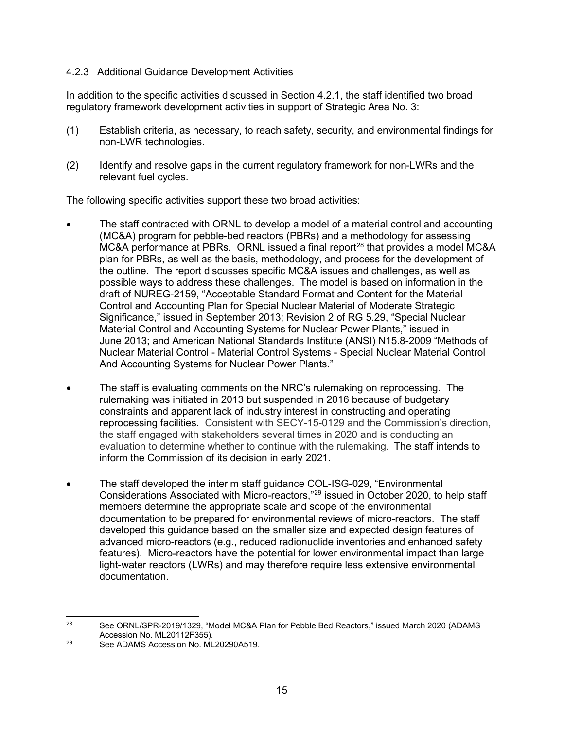#### 4.2.3 Additional Guidance Development Activities

In addition to the specific activities discussed in Section 4.2.1, the staff identified two broad regulatory framework development activities in support of Strategic Area No. 3:

- (1) Establish criteria, as necessary, to reach safety, security, and environmental findings for non-LWR technologies.
- (2) Identify and resolve gaps in the current regulatory framework for non-LWRs and the relevant fuel cycles.

The following specific activities support these two broad activities:

- The staff contracted with ORNL to develop a model of a material control and accounting (MC&A) program for pebble-bed reactors (PBRs) and a methodology for assessing  $MC&A$  performance at PBRs. ORNL issued a final report<sup>[28](#page-15-0)</sup> that provides a model MC $&A$ plan for PBRs, as well as the basis, methodology, and process for the development of the outline. The report discusses specific MC&A issues and challenges, as well as possible ways to address these challenges. The model is based on information in the draft of NUREG-2159, "Acceptable Standard Format and Content for the Material Control and Accounting Plan for Special Nuclear Material of Moderate Strategic Significance," issued in September 2013; Revision 2 of RG 5.29, "Special Nuclear Material Control and Accounting Systems for Nuclear Power Plants," issued in June 2013; and American National Standards Institute (ANSI) N15.8-2009 "Methods of Nuclear Material Control - Material Control Systems - Special Nuclear Material Control And Accounting Systems for Nuclear Power Plants."
- The staff is evaluating comments on the NRC's rulemaking on reprocessing. The rulemaking was initiated in 2013 but suspended in 2016 because of budgetary constraints and apparent lack of industry interest in constructing and operating reprocessing facilities. Consistent with SECY-15-0129 and the Commission's direction, the staff engaged with stakeholders several times in 2020 and is conducting an evaluation to determine whether to continue with the rulemaking. The staff intends to inform the Commission of its decision in early 2021.
- The staff developed the interim staff guidance COL-ISG-029, "Environmental Considerations Associated with Micro-reactors,"[29](#page-15-1) issued in October 2020, to help staff members determine the appropriate scale and scope of the environmental documentation to be prepared for environmental reviews of micro-reactors. The staff developed this guidance based on the smaller size and expected design features of advanced micro-reactors (e.g., reduced radionuclide inventories and enhanced safety features). Micro-reactors have the potential for lower environmental impact than large light-water reactors (LWRs) and may therefore require less extensive environmental documentation.

<span id="page-15-0"></span><sup>&</sup>lt;sup>28</sup> See ORNL/SPR-2019/1329, "Model MC&A Plan for Pebble Bed Reactors," issued March 2020 (ADAMS Accession No. ML20112F355).

<span id="page-15-1"></span><sup>29</sup> See ADAMS Accession No. ML20290A519.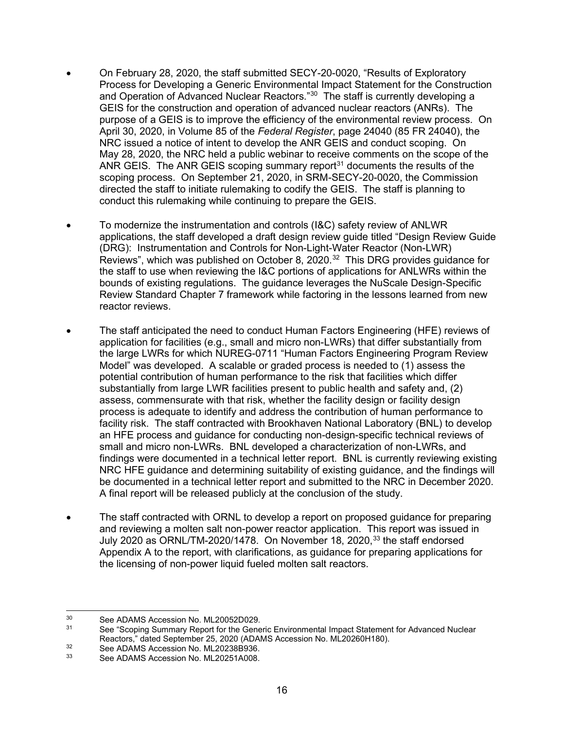- On February 28, 2020, the staff submitted SECY-20-0020, "Results of Exploratory Process for Developing a Generic Environmental Impact Statement for the Construction and Operation of Advanced Nuclear Reactors."<sup>[30](#page-16-0)</sup> The staff is currently developing a GEIS for the construction and operation of advanced nuclear reactors (ANRs). The purpose of a GEIS is to improve the efficiency of the environmental review process. On April 30, 2020, in Volume 85 of the *Federal Register*, page 24040 (85 FR 24040), the NRC issued a notice of intent to develop the ANR GEIS and conduct scoping. On May 28, 2020, the NRC held a public webinar to receive comments on the scope of the ANR GEIS. The ANR GEIS scoping summary report $31$  documents the results of the scoping process. On September 21, 2020, in SRM-SECY-20-0020, the Commission directed the staff to initiate rulemaking to codify the GEIS. The staff is planning to conduct this rulemaking while continuing to prepare the GEIS.
- To modernize the instrumentation and controls (I&C) safety review of ANLWR applications, the staff developed a draft design review guide titled "Design Review Guide (DRG): Instrumentation and Controls for Non-Light-Water Reactor (Non-LWR) Reviews", which was published on October 8, 2020.<sup>32</sup> This DRG provides quidance for the staff to use when reviewing the I&C portions of applications for ANLWRs within the bounds of existing regulations. The guidance leverages the NuScale Design-Specific Review Standard Chapter 7 framework while factoring in the lessons learned from new reactor reviews.
- The staff anticipated the need to conduct Human Factors Engineering (HFE) reviews of application for facilities (e.g., small and micro non-LWRs) that differ substantially from the large LWRs for which NUREG-0711 "Human Factors Engineering Program Review Model" was developed. A scalable or graded process is needed to (1) assess the potential contribution of human performance to the risk that facilities which differ substantially from large LWR facilities present to public health and safety and, (2) assess, commensurate with that risk, whether the facility design or facility design process is adequate to identify and address the contribution of human performance to facility risk. The staff contracted with Brookhaven National Laboratory (BNL) to develop an HFE process and guidance for conducting non-design-specific technical reviews of small and micro non-LWRs. BNL developed a characterization of non-LWRs, and findings were documented in a technical letter report. BNL is currently reviewing existing NRC HFE guidance and determining suitability of existing guidance, and the findings will be documented in a technical letter report and submitted to the NRC in December 2020. A final report will be released publicly at the conclusion of the study.
- The staff contracted with ORNL to develop a report on proposed guidance for preparing and reviewing a molten salt non-power reactor application. This report was issued in July 2020 as ORNL/TM-2020/1478. On November 18, 2020, [33](#page-16-3) the staff endorsed Appendix A to the report, with clarifications, as guidance for preparing applications for the licensing of non-power liquid fueled molten salt reactors.

<span id="page-16-0"></span><sup>&</sup>lt;sup>30</sup> See ADAMS Accession No. ML20052D029.<br><sup>31</sup> See "Scoping Summary Report for the Gene

<span id="page-16-1"></span>See "Scoping Summary Report for the Generic Environmental Impact Statement for Advanced Nuclear Reactors," dated September 25, 2020 (ADAMS Accession No. ML20260H180).

<span id="page-16-2"></span><sup>&</sup>lt;sup>32</sup> See ADAMS Accession No. ML20238B936.<br><sup>33</sup> See ADAMS Accession No. ML20251A008.

<span id="page-16-3"></span>See ADAMS Accession No. ML20251A008.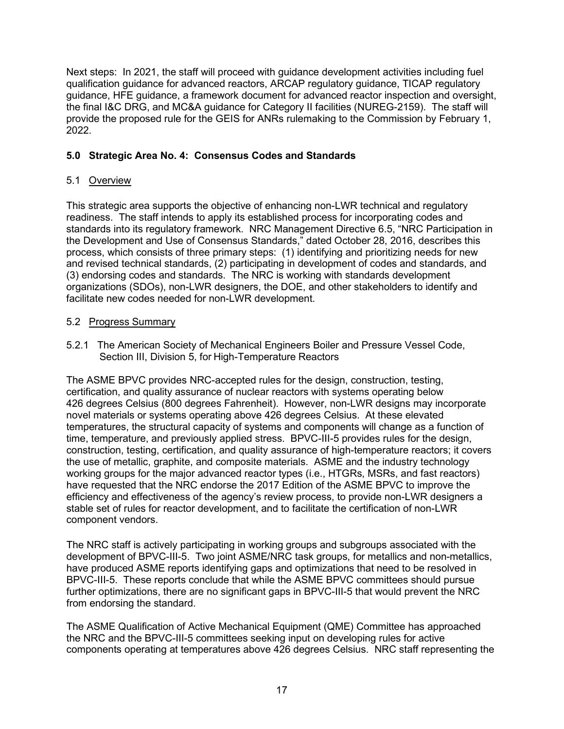Next steps: In 2021, the staff will proceed with guidance development activities including fuel qualification guidance for advanced reactors, ARCAP regulatory guidance, TICAP regulatory guidance, HFE guidance, a framework document for advanced reactor inspection and oversight, the final I&C DRG, and MC&A guidance for Category II facilities (NUREG-2159). The staff will provide the proposed rule for the GEIS for ANRs rulemaking to the Commission by February 1, 2022.

# <span id="page-17-0"></span>**5.0 Strategic Area No. 4: Consensus Codes and Standards**

# <span id="page-17-1"></span>5.1 Overview

This strategic area supports the objective of enhancing non-LWR technical and regulatory readiness. The staff intends to apply its established process for incorporating codes and standards into its regulatory framework. NRC Management Directive 6.5, "NRC Participation in the Development and Use of Consensus Standards," dated October 28, 2016, describes this process, which consists of three primary steps: (1) identifying and prioritizing needs for new and revised technical standards, (2) participating in development of codes and standards, and (3) endorsing codes and standards. The NRC is working with standards development organizations (SDOs), non-LWR designers, the DOE, and other stakeholders to identify and facilitate new codes needed for non-LWR development.

# <span id="page-17-2"></span>5.2 Progress Summary

5.2.1 The American Society of Mechanical Engineers Boiler and Pressure Vessel Code, Section III, Division 5, for High-Temperature Reactors

The ASME BPVC provides NRC-accepted rules for the design, construction, testing, certification, and quality assurance of nuclear reactors with systems operating below 426 degrees Celsius (800 degrees Fahrenheit). However, non-LWR designs may incorporate novel materials or systems operating above 426 degrees Celsius. At these elevated temperatures, the structural capacity of systems and components will change as a function of time, temperature, and previously applied stress. BPVC-III-5 provides rules for the design, construction, testing, certification, and quality assurance of high-temperature reactors; it covers the use of metallic, graphite, and composite materials. ASME and the industry technology working groups for the major advanced reactor types (i.e., HTGRs, MSRs, and fast reactors) have requested that the NRC endorse the 2017 Edition of the ASME BPVC to improve the efficiency and effectiveness of the agency's review process, to provide non-LWR designers a stable set of rules for reactor development, and to facilitate the certification of non-LWR component vendors.

The NRC staff is actively participating in working groups and subgroups associated with the development of BPVC-III-5. Two joint ASME/NRC task groups, for metallics and non-metallics, have produced ASME reports identifying gaps and optimizations that need to be resolved in BPVC-III-5. These reports conclude that while the ASME BPVC committees should pursue further optimizations, there are no significant gaps in BPVC-III-5 that would prevent the NRC from endorsing the standard.

The ASME Qualification of Active Mechanical Equipment (QME) Committee has approached the NRC and the BPVC-III-5 committees seeking input on developing rules for active components operating at temperatures above 426 degrees Celsius. NRC staff representing the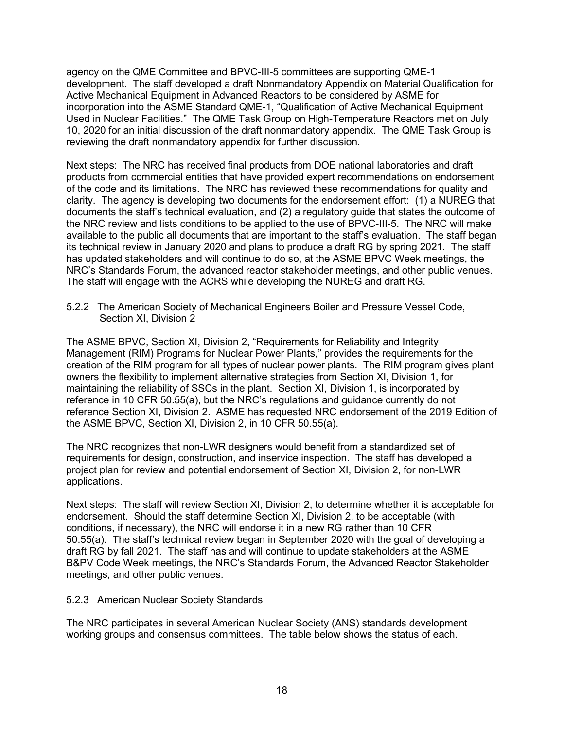agency on the QME Committee and BPVC-III-5 committees are supporting QME-1 development. The staff developed a draft Nonmandatory Appendix on Material Qualification for Active Mechanical Equipment in Advanced Reactors to be considered by ASME for incorporation into the ASME Standard QME-1, "Qualification of Active Mechanical Equipment Used in Nuclear Facilities." The QME Task Group on High-Temperature Reactors met on July 10, 2020 for an initial discussion of the draft nonmandatory appendix. The QME Task Group is reviewing the draft nonmandatory appendix for further discussion.

Next steps: The NRC has received final products from DOE national laboratories and draft products from commercial entities that have provided expert recommendations on endorsement of the code and its limitations. The NRC has reviewed these recommendations for quality and clarity. The agency is developing two documents for the endorsement effort: (1) a NUREG that documents the staff's technical evaluation, and (2) a regulatory guide that states the outcome of the NRC review and lists conditions to be applied to the use of BPVC-III-5. The NRC will make available to the public all documents that are important to the staff's evaluation. The staff began its technical review in January 2020 and plans to produce a draft RG by spring 2021. The staff has updated stakeholders and will continue to do so, at the ASME BPVC Week meetings, the NRC's Standards Forum, the advanced reactor stakeholder meetings, and other public venues. The staff will engage with the ACRS while developing the NUREG and draft RG.

5.2.2 The American Society of Mechanical Engineers Boiler and Pressure Vessel Code, Section XI, Division 2

The ASME BPVC, Section XI, Division 2, "Requirements for Reliability and Integrity Management (RIM) Programs for Nuclear Power Plants," provides the requirements for the creation of the RIM program for all types of nuclear power plants. The RIM program gives plant owners the flexibility to implement alternative strategies from Section XI, Division 1, for maintaining the reliability of SSCs in the plant. Section XI, Division 1, is incorporated by reference in 10 CFR 50.55(a), but the NRC's regulations and guidance currently do not reference Section XI, Division 2. ASME has requested NRC endorsement of the 2019 Edition of the ASME BPVC, Section XI, Division 2, in 10 CFR 50.55(a).

The NRC recognizes that non-LWR designers would benefit from a standardized set of requirements for design, construction, and inservice inspection. The staff has developed a project plan for review and potential endorsement of Section XI, Division 2, for non-LWR applications.

Next steps: The staff will review Section XI, Division 2, to determine whether it is acceptable for endorsement. Should the staff determine Section XI, Division 2, to be acceptable (with conditions, if necessary), the NRC will endorse it in a new RG rather than 10 CFR 50.55(a). The staff's technical review began in September 2020 with the goal of developing a draft RG by fall 2021. The staff has and will continue to update stakeholders at the ASME B&PV Code Week meetings, the NRC's Standards Forum, the Advanced Reactor Stakeholder meetings, and other public venues.

#### 5.2.3 American Nuclear Society Standards

The NRC participates in several American Nuclear Society (ANS) standards development working groups and consensus committees. The table below shows the status of each.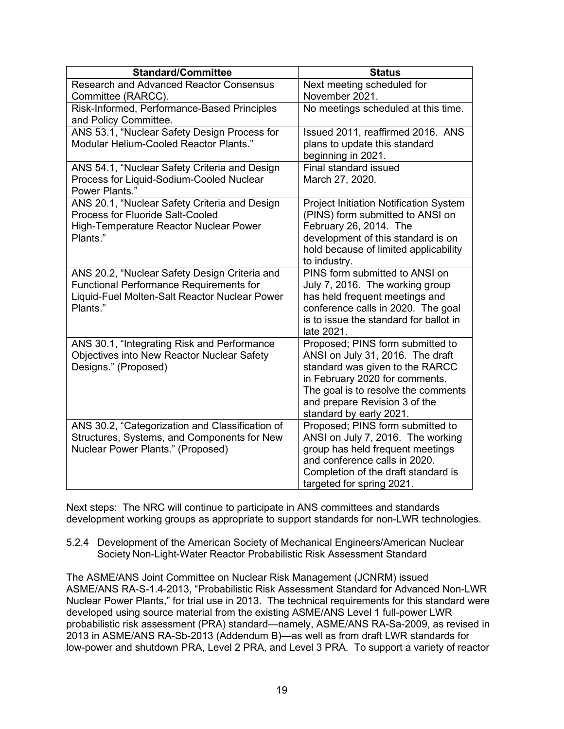| <b>Standard/Committee</b>                                                                                                                             | <b>Status</b>                                                                                                                                                                                                                                |  |
|-------------------------------------------------------------------------------------------------------------------------------------------------------|----------------------------------------------------------------------------------------------------------------------------------------------------------------------------------------------------------------------------------------------|--|
| <b>Research and Advanced Reactor Consensus</b><br>Committee (RARCC).                                                                                  | Next meeting scheduled for<br>November 2021.                                                                                                                                                                                                 |  |
| Risk-Informed, Performance-Based Principles<br>and Policy Committee.                                                                                  | No meetings scheduled at this time.                                                                                                                                                                                                          |  |
| ANS 53.1, "Nuclear Safety Design Process for<br>Modular Helium-Cooled Reactor Plants."                                                                | Issued 2011, reaffirmed 2016. ANS<br>plans to update this standard<br>beginning in 2021.                                                                                                                                                     |  |
| ANS 54.1, "Nuclear Safety Criteria and Design<br>Process for Liquid-Sodium-Cooled Nuclear<br><b>Power Plants."</b>                                    | <b>Final standard issued</b><br>March 27, 2020.                                                                                                                                                                                              |  |
| ANS 20.1, "Nuclear Safety Criteria and Design<br><b>Process for Fluoride Salt-Cooled</b><br>High-Temperature Reactor Nuclear Power<br>Plants."        | Project Initiation Notification System<br>(PINS) form submitted to ANSI on<br>February 26, 2014. The<br>development of this standard is on<br>hold because of limited applicability<br>to industry.                                          |  |
| ANS 20.2, "Nuclear Safety Design Criteria and<br>Functional Performance Requirements for<br>Liquid-Fuel Molten-Salt Reactor Nuclear Power<br>Plants." | PINS form submitted to ANSI on<br>July 7, 2016. The working group<br>has held frequent meetings and<br>conference calls in 2020. The goal<br>is to issue the standard for ballot in<br>late 2021.                                            |  |
| ANS 30.1, "Integrating Risk and Performance<br>Objectives into New Reactor Nuclear Safety<br>Designs." (Proposed)                                     | Proposed; PINS form submitted to<br>ANSI on July 31, 2016. The draft<br>standard was given to the RARCC<br>in February 2020 for comments.<br>The goal is to resolve the comments<br>and prepare Revision 3 of the<br>standard by early 2021. |  |
| ANS 30.2, "Categorization and Classification of<br>Structures, Systems, and Components for New<br>Nuclear Power Plants." (Proposed)                   | Proposed; PINS form submitted to<br>ANSI on July 7, 2016. The working<br>group has held frequent meetings<br>and conference calls in 2020.<br>Completion of the draft standard is<br>targeted for spring 2021.                               |  |

Next steps: The NRC will continue to participate in ANS committees and standards development working groups as appropriate to support standards for non-LWR technologies.

5.2.4 Development of the American Society of Mechanical Engineers/American Nuclear Society Non-Light-Water Reactor Probabilistic Risk Assessment Standard

The ASME/ANS Joint Committee on Nuclear Risk Management (JCNRM) issued ASME/ANS RA-S-1.4-2013, "Probabilistic Risk Assessment Standard for Advanced Non-LWR Nuclear Power Plants," for trial use in 2013. The technical requirements for this standard were developed using source material from the existing ASME/ANS Level 1 full-power LWR probabilistic risk assessment (PRA) standard—namely, ASME/ANS RA-Sa-2009, as revised in 2013 in ASME/ANS RA-Sb-2013 (Addendum B)—as well as from draft LWR standards for low-power and shutdown PRA, Level 2 PRA, and Level 3 PRA. To support a variety of reactor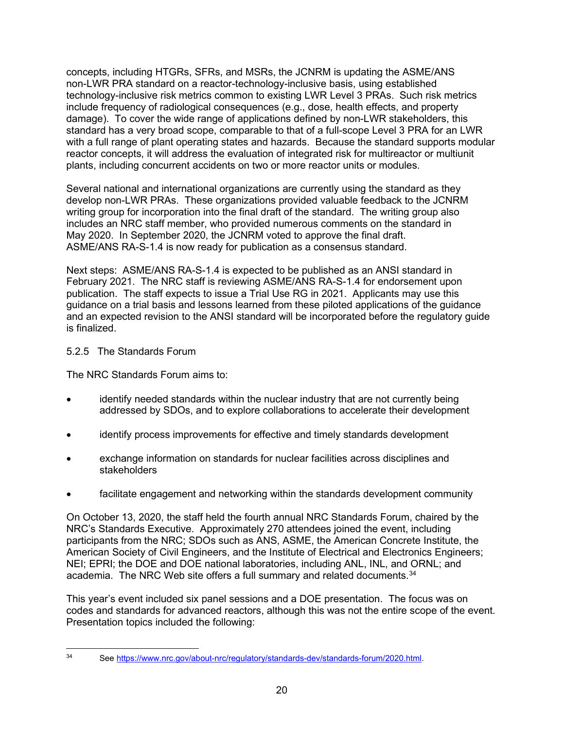concepts, including HTGRs, SFRs, and MSRs, the JCNRM is updating the ASME/ANS non-LWR PRA standard on a reactor-technology-inclusive basis, using established technology-inclusive risk metrics common to existing LWR Level 3 PRAs. Such risk metrics include frequency of radiological consequences (e.g., dose, health effects, and property damage). To cover the wide range of applications defined by non-LWR stakeholders, this standard has a very broad scope, comparable to that of a full-scope Level 3 PRA for an LWR with a full range of plant operating states and hazards. Because the standard supports modular reactor concepts, it will address the evaluation of integrated risk for multireactor or multiunit plants, including concurrent accidents on two or more reactor units or modules.

Several national and international organizations are currently using the standard as they develop non-LWR PRAs. These organizations provided valuable feedback to the JCNRM writing group for incorporation into the final draft of the standard. The writing group also includes an NRC staff member, who provided numerous comments on the standard in May 2020. In September 2020, the JCNRM voted to approve the final draft. ASME/ANS RA-S-1.4 is now ready for publication as a consensus standard.

Next steps: ASME/ANS RA-S-1.4 is expected to be published as an ANSI standard in February 2021. The NRC staff is reviewing ASME/ANS RA-S-1.4 for endorsement upon publication. The staff expects to issue a Trial Use RG in 2021. Applicants may use this guidance on a trial basis and lessons learned from these piloted applications of the guidance and an expected revision to the ANSI standard will be incorporated before the regulatory guide is finalized.

### 5.2.5 The Standards Forum

The NRC Standards Forum aims to:

- identify needed standards within the nuclear industry that are not currently being addressed by SDOs, and to explore collaborations to accelerate their development
- identify process improvements for effective and timely standards development
- exchange information on standards for nuclear facilities across disciplines and stakeholders
- facilitate engagement and networking within the standards development community

On October 13, 2020, the staff held the fourth annual NRC Standards Forum, chaired by the NRC's Standards Executive. Approximately 270 attendees joined the event, including participants from the NRC; SDOs such as ANS, ASME, the American Concrete Institute, the American Society of Civil Engineers, and the Institute of Electrical and Electronics Engineers; NEI; EPRI; the DOE and DOE national laboratories, including ANL, INL, and ORNL; and academia. The NRC Web site offers a full summary and related documents. [34](#page-20-0)

This year's event included six panel sessions and a DOE presentation. The focus was on codes and standards for advanced reactors, although this was not the entire scope of the event. Presentation topics included the following:

<span id="page-20-0"></span><sup>34</sup> Se[e https://www.nrc.gov/about-nrc/regulatory/standards-dev/standards-forum/2020.html.](https://www.nrc.gov/about-nrc/regulatory/standards-dev/standards-forum/2020.html)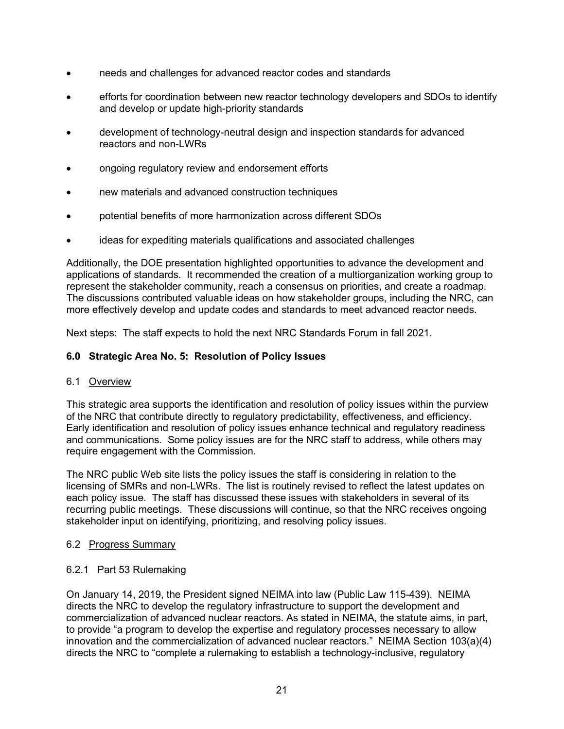- needs and challenges for advanced reactor codes and standards
- efforts for coordination between new reactor technology developers and SDOs to identify and develop or update high-priority standards
- development of technology-neutral design and inspection standards for advanced reactors and non-LWRs
- ongoing regulatory review and endorsement efforts
- new materials and advanced construction techniques
- potential benefits of more harmonization across different SDOs
- ideas for expediting materials qualifications and associated challenges

Additionally, the DOE presentation highlighted opportunities to advance the development and applications of standards. It recommended the creation of a multiorganization working group to represent the stakeholder community, reach a consensus on priorities, and create a roadmap. The discussions contributed valuable ideas on how stakeholder groups, including the NRC, can more effectively develop and update codes and standards to meet advanced reactor needs.

Next steps: The staff expects to hold the next NRC Standards Forum in fall 2021.

#### <span id="page-21-0"></span>**6.0 Strategic Area No. 5: Resolution of Policy Issues**

#### 6.1 Overview

This strategic area supports the identification and resolution of policy issues within the purview of the NRC that contribute directly to regulatory predictability, effectiveness, and efficiency. Early identification and resolution of policy issues enhance technical and regulatory readiness and communications. Some policy issues are for the NRC staff to address, while others may require engagement with the Commission.

The NRC public Web site lists the policy issues the staff is considering in relation to the licensing of SMRs and non-LWRs. The list is routinely revised to reflect the latest updates on each policy issue. The staff has discussed these issues with stakeholders in several of its recurring public meetings. These discussions will continue, so that the NRC receives ongoing stakeholder input on identifying, prioritizing, and resolving policy issues.

#### 6.2 Progress Summary

#### 6.2.1 Part 53 Rulemaking

On January 14, 2019, the President signed NEIMA into law (Public Law 115-439). NEIMA directs the NRC to develop the regulatory infrastructure to support the development and commercialization of advanced nuclear reactors. As stated in NEIMA, the statute aims, in part, to provide "a program to develop the expertise and regulatory processes necessary to allow innovation and the commercialization of advanced nuclear reactors." NEIMA Section 103(a)(4) directs the NRC to "complete a rulemaking to establish a technology-inclusive, regulatory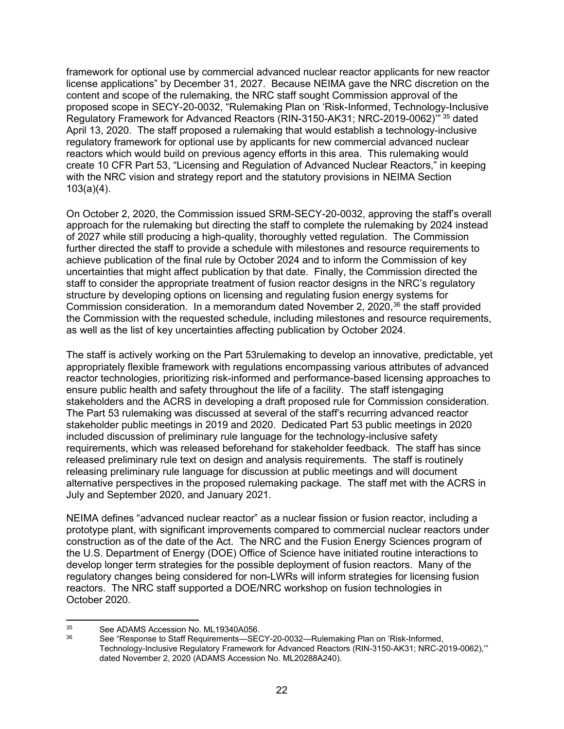framework for optional use by commercial advanced nuclear reactor applicants for new reactor license applications" by December 31, 2027. Because NEIMA gave the NRC discretion on the content and scope of the rulemaking, the NRC staff sought Commission approval of the proposed scope in SECY-20-0032, "Rulemaking Plan on 'Risk-Informed, Technology-Inclusive Regulatory Framework for Advanced Reactors (RIN-3150-AK31; NRC-2019-0062)'" [35](#page-22-0) dated April 13, 2020. The staff proposed a rulemaking that would establish a technology-inclusive regulatory framework for optional use by applicants for new commercial advanced nuclear reactors which would build on previous agency efforts in this area. This rulemaking would create 10 CFR Part 53, "Licensing and Regulation of Advanced Nuclear Reactors," in keeping with the NRC vision and strategy report and the statutory provisions in NEIMA Section 103(a)(4).

On October 2, 2020, the Commission issued SRM-SECY-20-0032, approving the staff's overall approach for the rulemaking but directing the staff to complete the rulemaking by 2024 instead of 2027 while still producing a high-quality, thoroughly vetted regulation. The Commission further directed the staff to provide a schedule with milestones and resource requirements to achieve publication of the final rule by October 2024 and to inform the Commission of key uncertainties that might affect publication by that date. Finally, the Commission directed the staff to consider the appropriate treatment of fusion reactor designs in the NRC's regulatory structure by developing options on licensing and regulating fusion energy systems for Commission consideration. In a memorandum dated November 2, 2020, [36](#page-22-1) the staff provided the Commission with the requested schedule, including milestones and resource requirements, as well as the list of key uncertainties affecting publication by October 2024.

The staff is actively working on the Part 53rulemaking to develop an innovative, predictable, yet appropriately flexible framework with regulations encompassing various attributes of advanced reactor technologies, prioritizing risk-informed and performance-based licensing approaches to ensure public health and safety throughout the life of a facility. The staff istengaging stakeholders and the ACRS in developing a draft proposed rule for Commission consideration. The Part 53 rulemaking was discussed at several of the staff's recurring advanced reactor stakeholder public meetings in 2019 and 2020. Dedicated Part 53 public meetings in 2020 included discussion of preliminary rule language for the technology-inclusive safety requirements, which was released beforehand for stakeholder feedback. The staff has since released preliminary rule text on design and analysis requirements. The staff is routinely releasing preliminary rule language for discussion at public meetings and will document alternative perspectives in the proposed rulemaking package. The staff met with the ACRS in July and September 2020, and January 2021.

NEIMA defines "advanced nuclear reactor" as a nuclear fission or fusion reactor, including a prototype plant, with significant improvements compared to commercial nuclear reactors under construction as of the date of the Act. The NRC and the Fusion Energy Sciences program of the U.S. Department of Energy (DOE) Office of Science have initiated routine interactions to develop longer term strategies for the possible deployment of fusion reactors. Many of the regulatory changes being considered for non-LWRs will inform strategies for licensing fusion reactors. The NRC staff supported a DOE/NRC workshop on fusion technologies in October 2020.

<span id="page-22-1"></span><span id="page-22-0"></span><sup>&</sup>lt;sup>35</sup> See ADAMS Accession No. ML19340A056.<br><sup>36</sup> See "Besname to Steff Bequirements SEC

<sup>36</sup> See "Response to Staff Requirements—SECY-20-0032—Rulemaking Plan on 'Risk-Informed, Technology-Inclusive Regulatory Framework for Advanced Reactors (RIN-3150-AK31; NRC-2019-0062),'" dated November 2, 2020 (ADAMS Accession No. ML20288A240).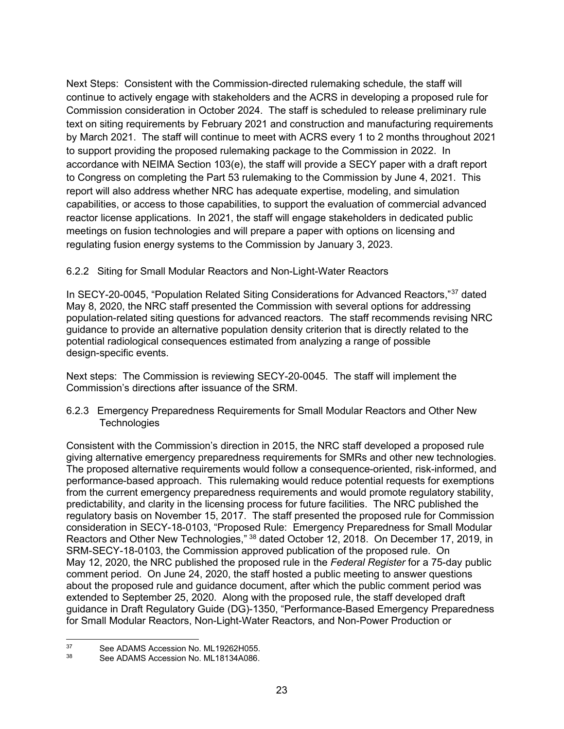Next Steps: Consistent with the Commission-directed rulemaking schedule, the staff will continue to actively engage with stakeholders and the ACRS in developing a proposed rule for Commission consideration in October 2024. The staff is scheduled to release preliminary rule text on siting requirements by February 2021 and construction and manufacturing requirements by March 2021. The staff will continue to meet with ACRS every 1 to 2 months throughout 2021 to support providing the proposed rulemaking package to the Commission in 2022. In accordance with NEIMA Section 103(e), the staff will provide a SECY paper with a draft report to Congress on completing the Part 53 rulemaking to the Commission by June 4, 2021. This report will also address whether NRC has adequate expertise, modeling, and simulation capabilities, or access to those capabilities, to support the evaluation of commercial advanced reactor license applications. In 2021, the staff will engage stakeholders in dedicated public meetings on fusion technologies and will prepare a paper with options on licensing and regulating fusion energy systems to the Commission by January 3, 2023.

# 6.2.2 Siting for Small Modular Reactors and Non-Light-Water Reactors

In SECY-20-0045, "Population Related Siting Considerations for Advanced Reactors,"[37](#page-23-0) dated May 8, 2020, the NRC staff presented the Commission with several options for addressing population-related siting questions for advanced reactors. The staff recommends revising NRC guidance to provide an alternative population density criterion that is directly related to the potential radiological consequences estimated from analyzing a range of possible design-specific events.

Next steps: The Commission is reviewing SECY-20-0045. The staff will implement the Commission's directions after issuance of the SRM.

6.2.3 Emergency Preparedness Requirements for Small Modular Reactors and Other New **Technologies** 

Consistent with the Commission's direction in 2015, the NRC staff developed a proposed rule giving alternative emergency preparedness requirements for SMRs and other new technologies. The proposed alternative requirements would follow a consequence-oriented, risk-informed, and performance-based approach. This rulemaking would reduce potential requests for exemptions from the current emergency preparedness requirements and would promote regulatory stability, predictability, and clarity in the licensing process for future facilities. The NRC published the regulatory basis on November 15, 2017. The staff presented the proposed rule for Commission consideration in SECY-18-0103, "Proposed Rule: Emergency Preparedness for Small Modular Reactors and Other New Technologies," [38](#page-23-1) dated October 12, 2018. On December 17, 2019, in SRM-SECY-18-0103, the Commission approved publication of the proposed rule. On May 12, 2020, the NRC published the proposed rule in the *Federal Register* for a 75-day public comment period. On June 24, 2020, the staff hosted a public meeting to answer questions about the proposed rule and guidance document, after which the public comment period was extended to September 25, 2020. Along with the proposed rule, the staff developed draft guidance in Draft Regulatory Guide (DG)-1350, "Performance-Based Emergency Preparedness for Small Modular Reactors, Non-Light-Water Reactors, and Non-Power Production or

<span id="page-23-1"></span><span id="page-23-0"></span><sup>&</sup>lt;sup>37</sup> See ADAMS Accession No. ML19262H055.<br><sup>38</sup> See ADAMS Accession No. 14, 19124A096

See ADAMS Accession No. ML18134A086.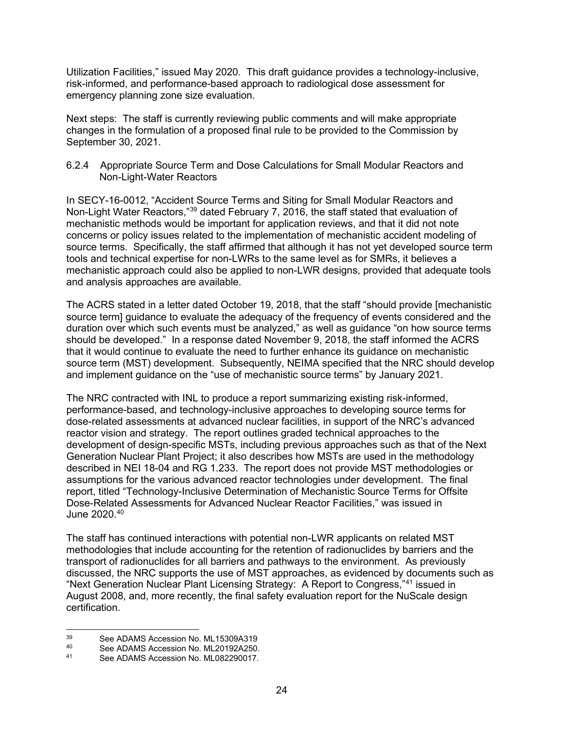Utilization Facilities," issued May 2020. This draft guidance provides a technology-inclusive, risk-informed, and performance-based approach to radiological dose assessment for emergency planning zone size evaluation.

Next steps: The staff is currently reviewing public comments and will make appropriate changes in the formulation of a proposed final rule to be provided to the Commission by September 30, 2021.

#### 6.2.4 Appropriate Source Term and Dose Calculations for Small Modular Reactors and Non-Light-Water Reactors

In SECY-16-0012, "Accident Source Terms and Siting for Small Modular Reactors and Non-Light Water Reactors,["39](#page-24-0) dated February 7, 2016, the staff stated that evaluation of mechanistic methods would be important for application reviews, and that it did not note concerns or policy issues related to the implementation of mechanistic accident modeling of source terms. Specifically, the staff affirmed that although it has not yet developed source term tools and technical expertise for non-LWRs to the same level as for SMRs, it believes a mechanistic approach could also be applied to non-LWR designs, provided that adequate tools and analysis approaches are available.

The ACRS stated in a letter dated October 19, 2018, that the staff "should provide [mechanistic source term] guidance to evaluate the adequacy of the frequency of events considered and the duration over which such events must be analyzed," as well as guidance "on how source terms should be developed." In a response dated November 9, 2018, the staff informed the ACRS that it would continue to evaluate the need to further enhance its guidance on mechanistic source term (MST) development. Subsequently, NEIMA specified that the NRC should develop and implement guidance on the "use of mechanistic source terms" by January 2021.

The NRC contracted with INL to produce a report summarizing existing risk-informed, performance-based, and technology-inclusive approaches to developing source terms for dose-related assessments at advanced nuclear facilities, in support of the NRC's advanced reactor vision and strategy. The report outlines graded technical approaches to the development of design-specific MSTs, including previous approaches such as that of the Next Generation Nuclear Plant Project; it also describes how MSTs are used in the methodology described in NEI 18-04 and RG 1.233. The report does not provide MST methodologies or assumptions for the various advanced reactor technologies under development. The final report, titled "Technology-Inclusive Determination of Mechanistic Source Terms for Offsite Dose-Related Assessments for Advanced Nuclear Reactor Facilities," was issued in June 2020. [40](#page-24-1) 

The staff has continued interactions with potential non-LWR applicants on related MST methodologies that include accounting for the retention of radionuclides by barriers and the transport of radionuclides for all barriers and pathways to the environment. As previously discussed, the NRC supports the use of MST approaches, as evidenced by documents such as "Next Generation Nuclear Plant Licensing Strategy: A Report to Congress,"[41](#page-24-2) issued in August 2008, and, more recently, the final safety evaluation report for the NuScale design certification.

<span id="page-24-0"></span><sup>&</sup>lt;sup>39</sup> See ADAMS Accession No. ML15309A319<br><sup>40</sup> See ADAMS Accession No. ML201924250

<span id="page-24-2"></span><span id="page-24-1"></span><sup>40</sup> See ADAMS Accession No. ML20192A250.<br>41 See ADAMS Accession No. ML082290017

See ADAMS Accession No. ML082290017.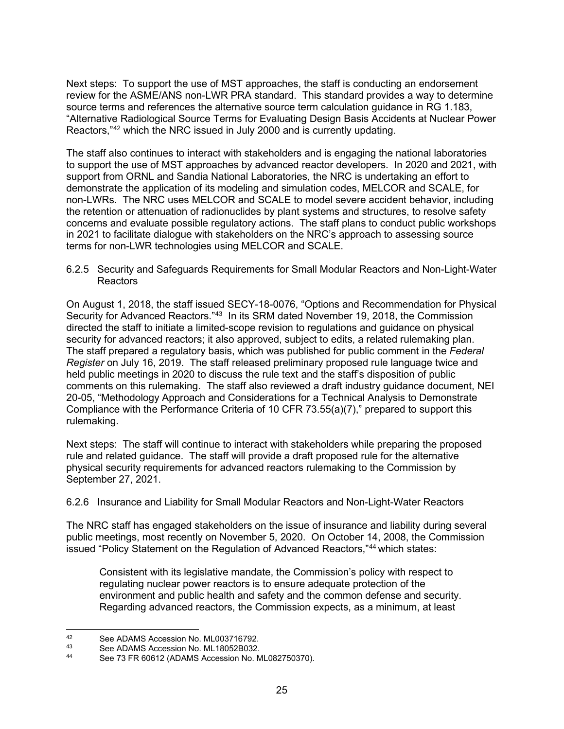Next steps: To support the use of MST approaches, the staff is conducting an endorsement review for the ASME/ANS non-LWR PRA standard. This standard provides a way to determine source terms and references the alternative source term calculation guidance in RG 1.183, "Alternative Radiological Source Terms for Evaluating Design Basis Accidents at Nuclear Power Reactors,"[42](#page-25-0) which the NRC issued in July 2000 and is currently updating.

The staff also continues to interact with stakeholders and is engaging the national laboratories to support the use of MST approaches by advanced reactor developers. In 2020 and 2021, with support from ORNL and Sandia National Laboratories, the NRC is undertaking an effort to demonstrate the application of its modeling and simulation codes, MELCOR and SCALE, for non-LWRs. The NRC uses MELCOR and SCALE to model severe accident behavior, including the retention or attenuation of radionuclides by plant systems and structures, to resolve safety concerns and evaluate possible regulatory actions. The staff plans to conduct public workshops in 2021 to facilitate dialogue with stakeholders on the NRC's approach to assessing source terms for non-LWR technologies using MELCOR and SCALE.

6.2.5 Security and Safeguards Requirements for Small Modular Reactors and Non-Light-Water Reactors

On August 1, 2018, the staff issued SECY-18-0076, "Options and Recommendation for Physical Security for Advanced Reactors."[43](#page-25-1) In its SRM dated November 19, 2018, the Commission directed the staff to initiate a limited-scope revision to regulations and guidance on physical security for advanced reactors; it also approved, subject to edits, a related rulemaking plan. The staff prepared a regulatory basis, which was published for public comment in the *Federal Register* on July 16, 2019. The staff released preliminary proposed rule language twice and held public meetings in 2020 to discuss the rule text and the staff's disposition of public comments on this rulemaking. The staff also reviewed a draft industry guidance document, NEI 20-05, "Methodology Approach and Considerations for a Technical Analysis to Demonstrate Compliance with the Performance Criteria of 10 CFR 73.55(a)(7)," prepared to support this rulemaking.

Next steps: The staff will continue to interact with stakeholders while preparing the proposed rule and related guidance. The staff will provide a draft proposed rule for the alternative physical security requirements for advanced reactors rulemaking to the Commission by September 27, 2021.

#### 6.2.6 Insurance and Liability for Small Modular Reactors and Non-Light-Water Reactors

The NRC staff has engaged stakeholders on the issue of insurance and liability during several public meetings, most recently on November 5, 2020. On October 14, 2008, the Commission issued "Policy Statement on the Regulation of Advanced Reactors,"[44](#page-25-2) which states:

Consistent with its legislative mandate, the Commission's policy with respect to regulating nuclear power reactors is to ensure adequate protection of the environment and public health and safety and the common defense and security. Regarding advanced reactors, the Commission expects, as a minimum, at least

<span id="page-25-0"></span><sup>42</sup> See ADAMS Accession No. ML003716792.<br>43 See ADAMS Accession No. ML18052B032

<span id="page-25-1"></span><sup>43</sup> See ADAMS Accession No. ML18052B032.<br>44 See 72 EB 60612 (ADAMS Accession No. M

<span id="page-25-2"></span>See 73 FR 60612 (ADAMS Accession No. ML082750370).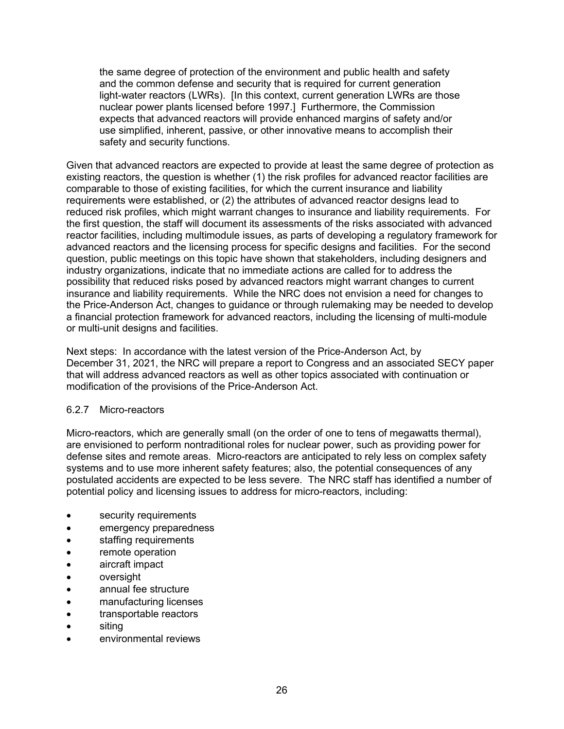the same degree of protection of the environment and public health and safety and the common defense and security that is required for current generation light-water reactors (LWRs). [In this context, current generation LWRs are those nuclear power plants licensed before 1997.] Furthermore, the Commission expects that advanced reactors will provide enhanced margins of safety and/or use simplified, inherent, passive, or other innovative means to accomplish their safety and security functions.

Given that advanced reactors are expected to provide at least the same degree of protection as existing reactors, the question is whether (1) the risk profiles for advanced reactor facilities are comparable to those of existing facilities, for which the current insurance and liability requirements were established, or (2) the attributes of advanced reactor designs lead to reduced risk profiles, which might warrant changes to insurance and liability requirements. For the first question, the staff will document its assessments of the risks associated with advanced reactor facilities, including multimodule issues, as parts of developing a regulatory framework for advanced reactors and the licensing process for specific designs and facilities. For the second question, public meetings on this topic have shown that stakeholders, including designers and industry organizations, indicate that no immediate actions are called for to address the possibility that reduced risks posed by advanced reactors might warrant changes to current insurance and liability requirements. While the NRC does not envision a need for changes to the Price-Anderson Act, changes to guidance or through rulemaking may be needed to develop a financial protection framework for advanced reactors, including the licensing of multi-module or multi-unit designs and facilities.

Next steps: In accordance with the latest version of the Price-Anderson Act, by December 31, 2021, the NRC will prepare a report to Congress and an associated SECY paper that will address advanced reactors as well as other topics associated with continuation or modification of the provisions of the Price-Anderson Act.

#### 6.2.7 Micro-reactors

Micro-reactors, which are generally small (on the order of one to tens of megawatts thermal), are envisioned to perform nontraditional roles for nuclear power, such as providing power for defense sites and remote areas. Micro-reactors are anticipated to rely less on complex safety systems and to use more inherent safety features; also, the potential consequences of any postulated accidents are expected to be less severe. The NRC staff has identified a number of potential policy and licensing issues to address for micro-reactors, including:

- security requirements
- emergency preparedness
- staffing requirements
- remote operation
- aircraft impact
- oversight
- annual fee structure
- manufacturing licenses
- transportable reactors
- siting
- environmental reviews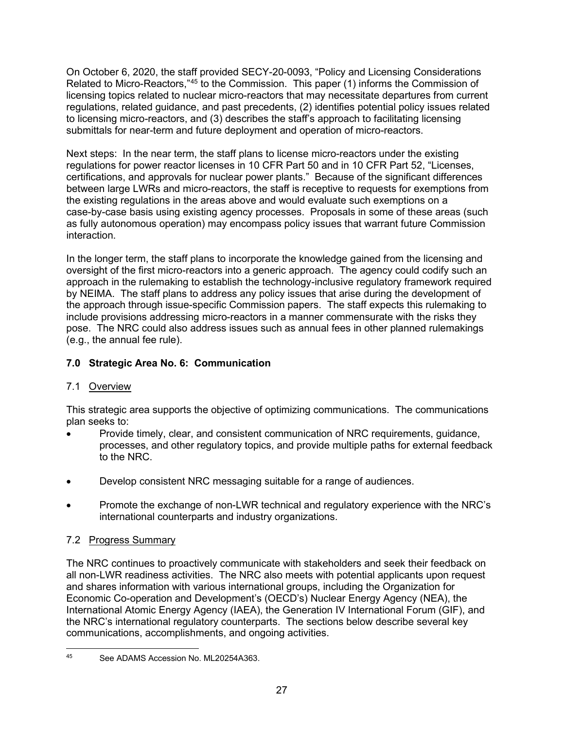On October 6, 2020, the staff provided SECY-20-0093, "Policy and Licensing Considerations Related to Micro-Reactors,"[45](#page-27-3) to the Commission. This paper (1) informs the Commission of licensing topics related to nuclear micro-reactors that may necessitate departures from current regulations, related guidance, and past precedents, (2) identifies potential policy issues related to licensing micro-reactors, and (3) describes the staff's approach to facilitating licensing submittals for near-term and future deployment and operation of micro-reactors.

Next steps: In the near term, the staff plans to license micro-reactors under the existing regulations for power reactor licenses in 10 CFR Part 50 and in 10 CFR Part 52, "Licenses, certifications, and approvals for nuclear power plants." Because of the significant differences between large LWRs and micro-reactors, the staff is receptive to requests for exemptions from the existing regulations in the areas above and would evaluate such exemptions on a case-by-case basis using existing agency processes. Proposals in some of these areas (such as fully autonomous operation) may encompass policy issues that warrant future Commission interaction.

In the longer term, the staff plans to incorporate the knowledge gained from the licensing and oversight of the first micro-reactors into a generic approach. The agency could codify such an approach in the rulemaking to establish the technology-inclusive regulatory framework required by NEIMA. The staff plans to address any policy issues that arise during the development of the approach through issue-specific Commission papers. The staff expects this rulemaking to include provisions addressing micro-reactors in a manner commensurate with the risks they pose. The NRC could also address issues such as annual fees in other planned rulemakings (e.g., the annual fee rule).

# <span id="page-27-0"></span>**7.0 Strategic Area No. 6: Communication**

# <span id="page-27-1"></span>7.1 Overview

This strategic area supports the objective of optimizing communications. The communications plan seeks to:

- Provide timely, clear, and consistent communication of NRC requirements, guidance, processes, and other regulatory topics, and provide multiple paths for external feedback to the NRC.
- Develop consistent NRC messaging suitable for a range of audiences.
- Promote the exchange of non-LWR technical and regulatory experience with the NRC's international counterparts and industry organizations.

# <span id="page-27-2"></span>7.2 Progress Summary

The NRC continues to proactively communicate with stakeholders and seek their feedback on all non-LWR readiness activities. The NRC also meets with potential applicants upon request and shares information with various international groups, including the Organization for Economic Co-operation and Development's (OECD's) Nuclear Energy Agency (NEA), the International Atomic Energy Agency (IAEA), the Generation IV International Forum (GIF), and the NRC's international regulatory counterparts. The sections below describe several key communications, accomplishments, and ongoing activities.

<span id="page-27-3"></span><sup>45</sup> See ADAMS Accession No. ML20254A363.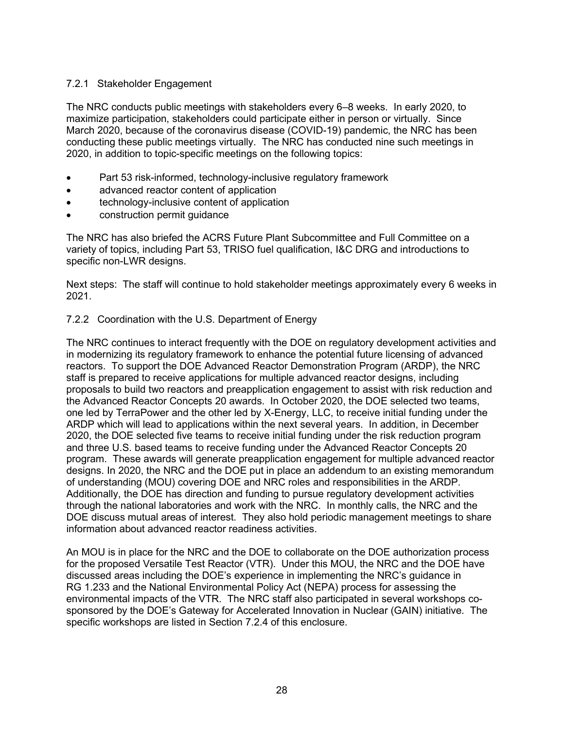### 7.2.1 Stakeholder Engagement

The NRC conducts public meetings with stakeholders every 6–8 weeks. In early 2020, to maximize participation, stakeholders could participate either in person or virtually. Since March 2020, because of the coronavirus disease (COVID-19) pandemic, the NRC has been conducting these public meetings virtually. The NRC has conducted nine such meetings in 2020, in addition to topic-specific meetings on the following topics:

- Part 53 risk-informed, technology-inclusive regulatory framework
- advanced reactor content of application
- technology-inclusive content of application
- construction permit guidance

The NRC has also briefed the ACRS Future Plant Subcommittee and Full Committee on a variety of topics, including Part 53, TRISO fuel qualification, I&C DRG and introductions to specific non-LWR designs.

Next steps: The staff will continue to hold stakeholder meetings approximately every 6 weeks in 2021.

#### 7.2.2 Coordination with the U.S. Department of Energy

The NRC continues to interact frequently with the DOE on regulatory development activities and in modernizing its regulatory framework to enhance the potential future licensing of advanced reactors. To support the DOE Advanced Reactor Demonstration Program (ARDP), the NRC staff is prepared to receive applications for multiple advanced reactor designs, including proposals to build two reactors and preapplication engagement to assist with risk reduction and the Advanced Reactor Concepts 20 awards. In October 2020, the DOE selected two teams, one led by TerraPower and the other led by X-Energy, LLC, to receive initial funding under the ARDP which will lead to applications within the next several years. In addition, in December 2020, the DOE selected five teams to receive initial funding under the risk reduction program and three U.S. based teams to receive funding under the Advanced Reactor Concepts 20 program. These awards will generate preapplication engagement for multiple advanced reactor designs. In 2020, the NRC and the DOE put in place an addendum to an existing memorandum of understanding (MOU) covering DOE and NRC roles and responsibilities in the ARDP. Additionally, the DOE has direction and funding to pursue regulatory development activities through the national laboratories and work with the NRC. In monthly calls, the NRC and the DOE discuss mutual areas of interest. They also hold periodic management meetings to share information about advanced reactor readiness activities.

An MOU is in place for the NRC and the DOE to collaborate on the DOE authorization process for the proposed Versatile Test Reactor (VTR). Under this MOU, the NRC and the DOE have discussed areas including the DOE's experience in implementing the NRC's guidance in RG 1.233 and the National Environmental Policy Act (NEPA) process for assessing the environmental impacts of the VTR. The NRC staff also participated in several workshops cosponsored by the DOE's Gateway for Accelerated Innovation in Nuclear (GAIN) initiative. The specific workshops are listed in Section 7.2.4 of this enclosure.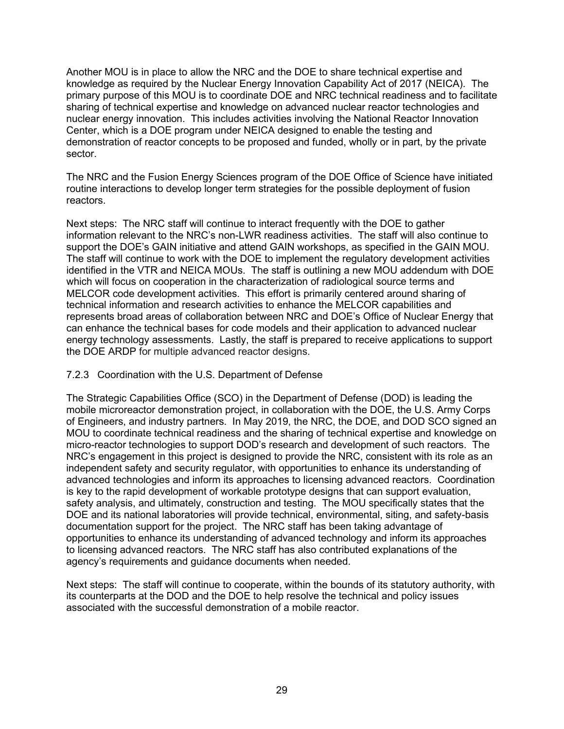Another MOU is in place to allow the NRC and the DOE to share technical expertise and knowledge as required by the Nuclear Energy Innovation Capability Act of 2017 (NEICA). The primary purpose of this MOU is to coordinate DOE and NRC technical readiness and to facilitate sharing of technical expertise and knowledge on advanced nuclear reactor technologies and nuclear energy innovation. This includes activities involving the National Reactor Innovation Center, which is a DOE program under NEICA designed to enable the testing and demonstration of reactor concepts to be proposed and funded, wholly or in part, by the private sector.

The NRC and the Fusion Energy Sciences program of the DOE Office of Science have initiated routine interactions to develop longer term strategies for the possible deployment of fusion reactors.

Next steps: The NRC staff will continue to interact frequently with the DOE to gather information relevant to the NRC's non-LWR readiness activities. The staff will also continue to support the DOE's GAIN initiative and attend GAIN workshops, as specified in the GAIN MOU. The staff will continue to work with the DOE to implement the regulatory development activities identified in the VTR and NEICA MOUs. The staff is outlining a new MOU addendum with DOE which will focus on cooperation in the characterization of radiological source terms and MELCOR code development activities. This effort is primarily centered around sharing of technical information and research activities to enhance the MELCOR capabilities and represents broad areas of collaboration between NRC and DOE's Office of Nuclear Energy that can enhance the technical bases for code models and their application to advanced nuclear energy technology assessments. Lastly, the staff is prepared to receive applications to support the DOE ARDP for multiple advanced reactor designs.

#### 7.2.3 Coordination with the U.S. Department of Defense

The Strategic Capabilities Office (SCO) in the Department of Defense (DOD) is leading the mobile microreactor demonstration project, in collaboration with the DOE, the U.S. Army Corps of Engineers, and industry partners. In May 2019, the NRC, the DOE, and DOD SCO signed an MOU to coordinate technical readiness and the sharing of technical expertise and knowledge on micro-reactor technologies to support DOD's research and development of such reactors. The NRC's engagement in this project is designed to provide the NRC, consistent with its role as an independent safety and security regulator, with opportunities to enhance its understanding of advanced technologies and inform its approaches to licensing advanced reactors. Coordination is key to the rapid development of workable prototype designs that can support evaluation, safety analysis, and ultimately, construction and testing. The MOU specifically states that the DOE and its national laboratories will provide technical, environmental, siting, and safety-basis documentation support for the project. The NRC staff has been taking advantage of opportunities to enhance its understanding of advanced technology and inform its approaches to licensing advanced reactors. The NRC staff has also contributed explanations of the agency's requirements and guidance documents when needed.

Next steps: The staff will continue to cooperate, within the bounds of its statutory authority, with its counterparts at the DOD and the DOE to help resolve the technical and policy issues associated with the successful demonstration of a mobile reactor.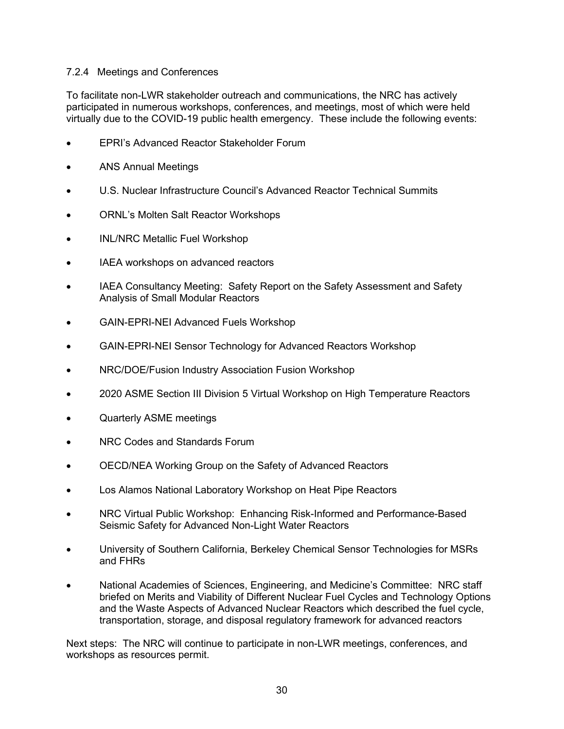#### 7.2.4 Meetings and Conferences

To facilitate non-LWR stakeholder outreach and communications, the NRC has actively participated in numerous workshops, conferences, and meetings, most of which were held virtually due to the COVID-19 public health emergency. These include the following events:

- EPRI's Advanced Reactor Stakeholder Forum
- ANS Annual Meetings
- U.S. Nuclear Infrastructure Council's Advanced Reactor Technical Summits
- ORNL's Molten Salt Reactor Workshops
- INL/NRC Metallic Fuel Workshop
- IAEA workshops on advanced reactors
- IAEA Consultancy Meeting: Safety Report on the Safety Assessment and Safety Analysis of Small Modular Reactors
- GAIN-EPRI-NEI Advanced Fuels Workshop
- GAIN-EPRI-NEI Sensor Technology for Advanced Reactors Workshop
- NRC/DOE/Fusion Industry Association Fusion Workshop
- 2020 ASME Section III Division 5 Virtual Workshop on High Temperature Reactors
- Quarterly ASME meetings
- NRC Codes and Standards Forum
- OECD/NEA Working Group on the Safety of Advanced Reactors
- Los Alamos National Laboratory Workshop on Heat Pipe Reactors
- NRC Virtual Public Workshop: Enhancing Risk-Informed and Performance-Based Seismic Safety for Advanced Non-Light Water Reactors
- University of Southern California, Berkeley Chemical Sensor Technologies for MSRs and FHRs
- National Academies of Sciences, Engineering, and Medicine's Committee: NRC staff briefed on Merits and Viability of Different Nuclear Fuel Cycles and Technology Options and the Waste Aspects of Advanced Nuclear Reactors which described the fuel cycle, transportation, storage, and disposal regulatory framework for advanced reactors

Next steps: The NRC will continue to participate in non-LWR meetings, conferences, and workshops as resources permit.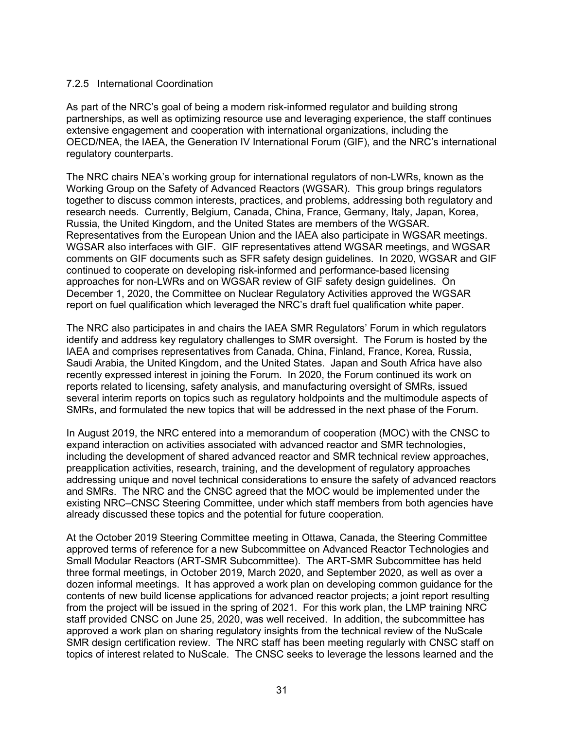#### 7.2.5 International Coordination

As part of the NRC's goal of being a modern risk-informed regulator and building strong partnerships, as well as optimizing resource use and leveraging experience, the staff continues extensive engagement and cooperation with international organizations, including the OECD/NEA, the IAEA, the Generation IV International Forum (GIF), and the NRC's international regulatory counterparts.

The NRC chairs NEA's working group for international regulators of non-LWRs, known as the Working Group on the Safety of Advanced Reactors (WGSAR). This group brings regulators together to discuss common interests, practices, and problems, addressing both regulatory and research needs. Currently, Belgium, Canada, China, France, Germany, Italy, Japan, Korea, Russia, the United Kingdom, and the United States are members of the WGSAR. Representatives from the European Union and the IAEA also participate in WGSAR meetings. WGSAR also interfaces with GIF. GIF representatives attend WGSAR meetings, and WGSAR comments on GIF documents such as SFR safety design guidelines. In 2020, WGSAR and GIF continued to cooperate on developing risk-informed and performance-based licensing approaches for non-LWRs and on WGSAR review of GIF safety design guidelines. On December 1, 2020, the Committee on Nuclear Regulatory Activities approved the WGSAR report on fuel qualification which leveraged the NRC's draft fuel qualification white paper.

The NRC also participates in and chairs the IAEA SMR Regulators' Forum in which regulators identify and address key regulatory challenges to SMR oversight. The Forum is hosted by the IAEA and comprises representatives from Canada, China, Finland, France, Korea, Russia, Saudi Arabia, the United Kingdom, and the United States. Japan and South Africa have also recently expressed interest in joining the Forum. In 2020, the Forum continued its work on reports related to licensing, safety analysis, and manufacturing oversight of SMRs, issued several interim reports on topics such as regulatory holdpoints and the multimodule aspects of SMRs, and formulated the new topics that will be addressed in the next phase of the Forum.

In August 2019, the NRC entered into a memorandum of cooperation (MOC) with the CNSC to expand interaction on activities associated with advanced reactor and SMR technologies, including the development of shared advanced reactor and SMR technical review approaches, preapplication activities, research, training, and the development of regulatory approaches addressing unique and novel technical considerations to ensure the safety of advanced reactors and SMRs. The NRC and the CNSC agreed that the MOC would be implemented under the existing NRC–CNSC Steering Committee, under which staff members from both agencies have already discussed these topics and the potential for future cooperation.

At the October 2019 Steering Committee meeting in Ottawa, Canada, the Steering Committee approved terms of reference for a new Subcommittee on Advanced Reactor Technologies and Small Modular Reactors (ART-SMR Subcommittee). The ART-SMR Subcommittee has held three formal meetings, in October 2019, March 2020, and September 2020, as well as over a dozen informal meetings. It has approved a work plan on developing common guidance for the contents of new build license applications for advanced reactor projects; a joint report resulting from the project will be issued in the spring of 2021. For this work plan, the LMP training NRC staff provided CNSC on June 25, 2020, was well received. In addition, the subcommittee has approved a work plan on sharing regulatory insights from the technical review of the NuScale SMR design certification review. The NRC staff has been meeting regularly with CNSC staff on topics of interest related to NuScale. The CNSC seeks to leverage the lessons learned and the